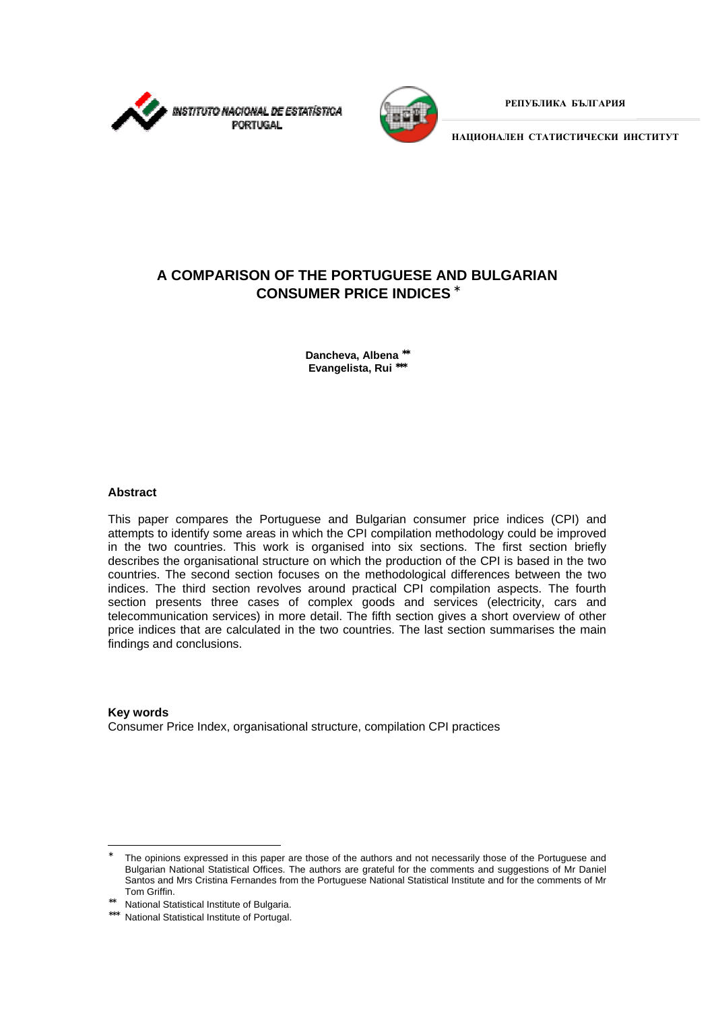



**РЕПУБЛИКА БЪЛГАРИЯ**

**НАЦИОНАЛЕН СТАТИСТИЧЕСКИ ИНСТИТУТ**

# **A COMPARISON OF THE PORTUGUESE AND BULGARIAN CONSUMER PRICE INDICES** <sup>∗</sup>

**Dancheva, Albena** ∗∗ **Evangelista, Rui** ∗∗∗

### **Abstract**

 $\overline{a}$ 

This paper compares the Portuguese and Bulgarian consumer price indices (CPI) and attempts to identify some areas in which the CPI compilation methodology could be improved in the two countries. This work is organised into six sections. The first section briefly describes the organisational structure on which the production of the CPI is based in the two countries. The second section focuses on the methodological differences between the two indices. The third section revolves around practical CPI compilation aspects. The fourth section presents three cases of complex goods and services (electricity, cars and telecommunication services) in more detail. The fifth section gives a short overview of other price indices that are calculated in the two countries. The last section summarises the main findings and conclusions.

**Key words** Consumer Price Index, organisational structure, compilation CPI practices

∗ The opinions expressed in this paper are those of the authors and not necessarily those of the Portuguese and Bulgarian National Statistical Offices. The authors are grateful for the comments and suggestions of Mr Daniel Santos and Mrs Cristina Fernandes from the Portuguese National Statistical Institute and for the comments of Mr Tom Griffin.

<sup>∗∗</sup> National Statistical Institute of Bulgaria.

<sup>∗∗∗</sup> National Statistical Institute of Portugal.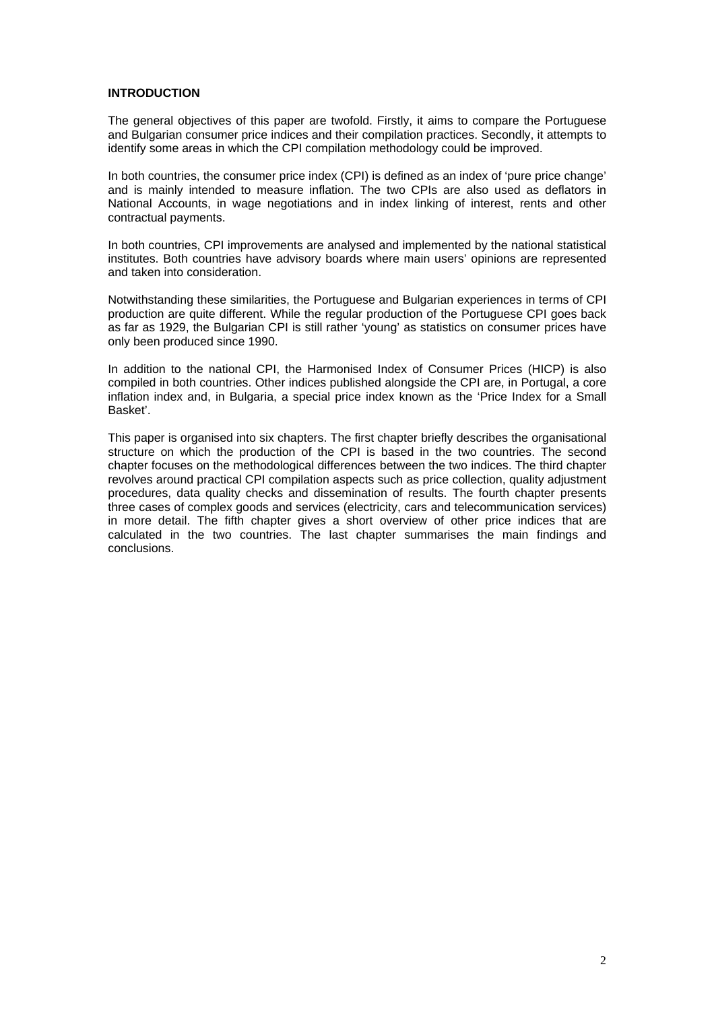### **INTRODUCTION**

The general objectives of this paper are twofold. Firstly, it aims to compare the Portuguese and Bulgarian consumer price indices and their compilation practices. Secondly, it attempts to identify some areas in which the CPI compilation methodology could be improved.

In both countries, the consumer price index (CPI) is defined as an index of 'pure price change' and is mainly intended to measure inflation. The two CPIs are also used as deflators in National Accounts, in wage negotiations and in index linking of interest, rents and other contractual payments.

In both countries, CPI improvements are analysed and implemented by the national statistical institutes. Both countries have advisory boards where main users' opinions are represented and taken into consideration.

Notwithstanding these similarities, the Portuguese and Bulgarian experiences in terms of CPI production are quite different. While the regular production of the Portuguese CPI goes back as far as 1929, the Bulgarian CPI is still rather 'young' as statistics on consumer prices have only been produced since 1990.

In addition to the national CPI, the Harmonised Index of Consumer Prices (HICP) is also compiled in both countries. Other indices published alongside the CPI are, in Portugal, a core inflation index and, in Bulgaria, a special price index known as the 'Price Index for a Small Basket'.

This paper is organised into six chapters. The first chapter briefly describes the organisational structure on which the production of the CPI is based in the two countries. The second chapter focuses on the methodological differences between the two indices. The third chapter revolves around practical CPI compilation aspects such as price collection, quality adjustment procedures, data quality checks and dissemination of results. The fourth chapter presents three cases of complex goods and services (electricity, cars and telecommunication services) in more detail. The fifth chapter gives a short overview of other price indices that are calculated in the two countries. The last chapter summarises the main findings and conclusions.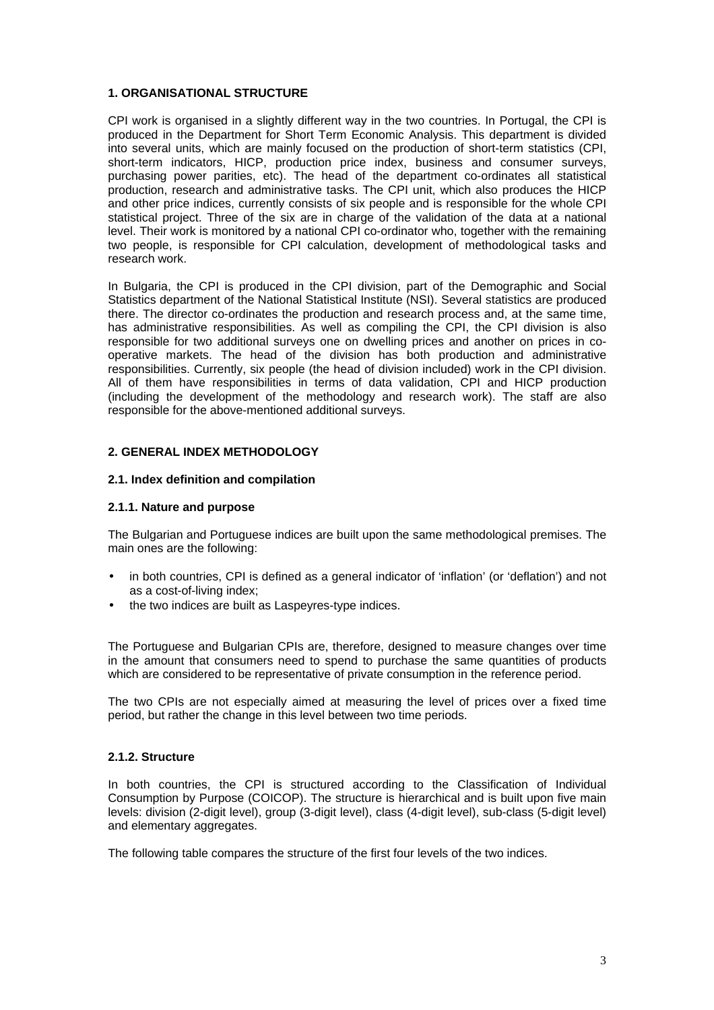### **1. ORGANISATIONAL STRUCTURE**

CPI work is organised in a slightly different way in the two countries. In Portugal, the CPI is produced in the Department for Short Term Economic Analysis. This department is divided into several units, which are mainly focused on the production of short-term statistics (CPI, short-term indicators, HICP, production price index, business and consumer surveys, purchasing power parities, etc). The head of the department co-ordinates all statistical production, research and administrative tasks. The CPI unit, which also produces the HICP and other price indices, currently consists of six people and is responsible for the whole CPI statistical project. Three of the six are in charge of the validation of the data at a national level. Their work is monitored by a national CPI co-ordinator who, together with the remaining two people, is responsible for CPI calculation, development of methodological tasks and research work.

In Bulgaria, the CPI is produced in the CPI division, part of the Demographic and Social Statistics department of the National Statistical Institute (NSI). Several statistics are produced there. The director co-ordinates the production and research process and, at the same time, has administrative responsibilities. As well as compiling the CPI, the CPI division is also responsible for two additional surveys one on dwelling prices and another on prices in cooperative markets. The head of the division has both production and administrative responsibilities. Currently, six people (the head of division included) work in the CPI division. All of them have responsibilities in terms of data validation, CPI and HICP production (including the development of the methodology and research work). The staff are also responsible for the above-mentioned additional surveys.

### **2. GENERAL INDEX METHODOLOGY**

### **2.1. Index definition and compilation**

#### **2.1.1. Nature and purpose**

The Bulgarian and Portuguese indices are built upon the same methodological premises. The main ones are the following:

- in both countries, CPI is defined as a general indicator of 'inflation' (or 'deflation') and not as a cost-of-living index;
- the two indices are built as Laspeyres-type indices.

The Portuguese and Bulgarian CPIs are, therefore, designed to measure changes over time in the amount that consumers need to spend to purchase the same quantities of products which are considered to be representative of private consumption in the reference period.

The two CPIs are not especially aimed at measuring the level of prices over a fixed time period, but rather the change in this level between two time periods.

## **2.1.2. Structure**

In both countries, the CPI is structured according to the Classification of Individual Consumption by Purpose (COICOP). The structure is hierarchical and is built upon five main levels: division (2-digit level), group (3-digit level), class (4-digit level), sub-class (5-digit level) and elementary aggregates.

The following table compares the structure of the first four levels of the two indices.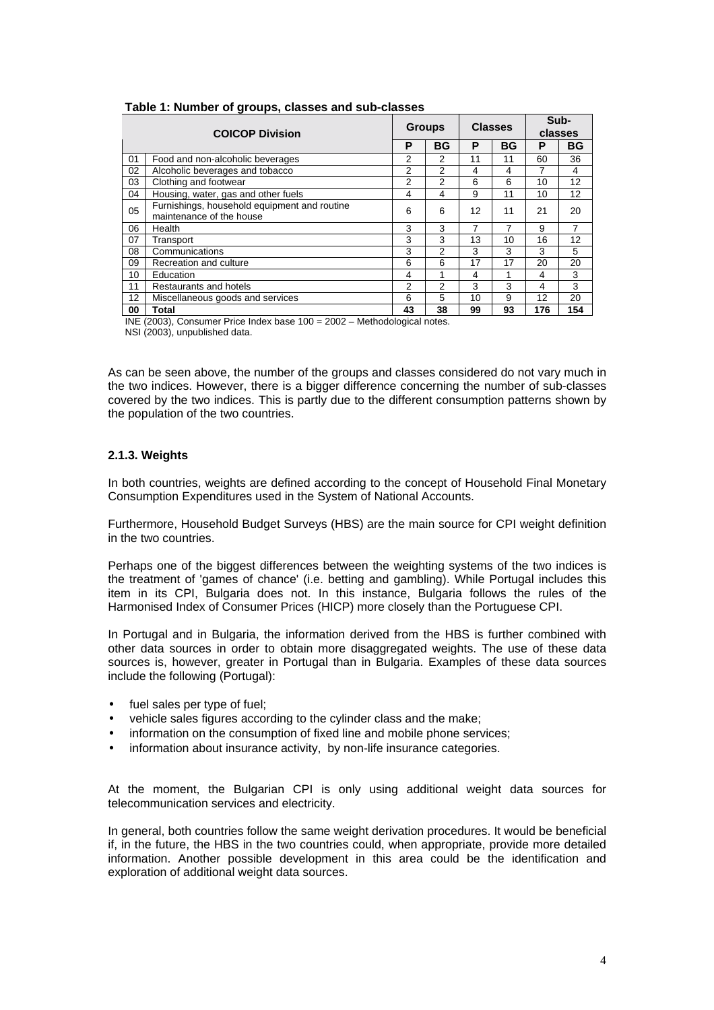| <b>COICOP Division</b>                 |                                                                          |    | <b>Groups</b> |    | <b>Classes</b> |     | Sub-<br>classes |  |
|----------------------------------------|--------------------------------------------------------------------------|----|---------------|----|----------------|-----|-----------------|--|
|                                        |                                                                          | P  | <b>BG</b>     | Р  | <b>BG</b>      | P   | <b>BG</b>       |  |
| 01                                     | Food and non-alcoholic beverages                                         | 2  | 2             | 11 | 11             | 60  | 36              |  |
| 02                                     | Alcoholic beverages and tobacco                                          | 2  | 2             | 4  | 4              |     | 4               |  |
| Clothing and footwear<br>2<br>03       |                                                                          | 2  | 6             | 6  | 10             | 12  |                 |  |
| 04                                     | Housing, water, gas and other fuels                                      | 4  | 4             | 9  | 11             | 10  | 12              |  |
| 05                                     | Furnishings, household equipment and routine<br>maintenance of the house | 6  | 6             | 12 | 11             | 21  | 20              |  |
| 06                                     | Health                                                                   | 3  | 3             | 7  | 7              | 9   | 7               |  |
| 07                                     | Transport                                                                | 3  | 3             | 13 | 10             | 16  | 12              |  |
| 08                                     | Communications                                                           | 3  | 2             | 3  | 3              | 3   | 5               |  |
| 09                                     | Recreation and culture                                                   | 6  | 6             | 17 | 17             | 20  | 20              |  |
| 10                                     | Education                                                                | 4  |               | 4  |                | 4   | 3               |  |
| 11                                     | Restaurants and hotels                                                   | 2  | 2             | 3  | 3              | 4   | 3               |  |
| 12<br>Miscellaneous goods and services |                                                                          | 6  | 5             | 10 | 9              | 12  | 20              |  |
| 00                                     | Total                                                                    | 43 | 38            | 99 | 93             | 176 | 154             |  |

#### **Table 1: Number of groups, classes and sub-classes**

INE (2003), Consumer Price Index base 100 = 2002 – Methodological notes.

NSI (2003), unpublished data.

As can be seen above, the number of the groups and classes considered do not vary much in the two indices. However, there is a bigger difference concerning the number of sub-classes covered by the two indices. This is partly due to the different consumption patterns shown by the population of the two countries.

## **2.1.3. Weights**

In both countries, weights are defined according to the concept of Household Final Monetary Consumption Expenditures used in the System of National Accounts.

Furthermore, Household Budget Surveys (HBS) are the main source for CPI weight definition in the two countries.

Perhaps one of the biggest differences between the weighting systems of the two indices is the treatment of 'games of chance' (i.e. betting and gambling). While Portugal includes this item in its CPI, Bulgaria does not. In this instance, Bulgaria follows the rules of the Harmonised Index of Consumer Prices (HICP) more closely than the Portuguese CPI.

In Portugal and in Bulgaria, the information derived from the HBS is further combined with other data sources in order to obtain more disaggregated weights. The use of these data sources is, however, greater in Portugal than in Bulgaria. Examples of these data sources include the following (Portugal):

- fuel sales per type of fuel;
- vehicle sales figures according to the cylinder class and the make;
- information on the consumption of fixed line and mobile phone services;
- information about insurance activity, by non-life insurance categories.

At the moment, the Bulgarian CPI is only using additional weight data sources for telecommunication services and electricity.

In general, both countries follow the same weight derivation procedures. It would be beneficial if, in the future, the HBS in the two countries could, when appropriate, provide more detailed information. Another possible development in this area could be the identification and exploration of additional weight data sources.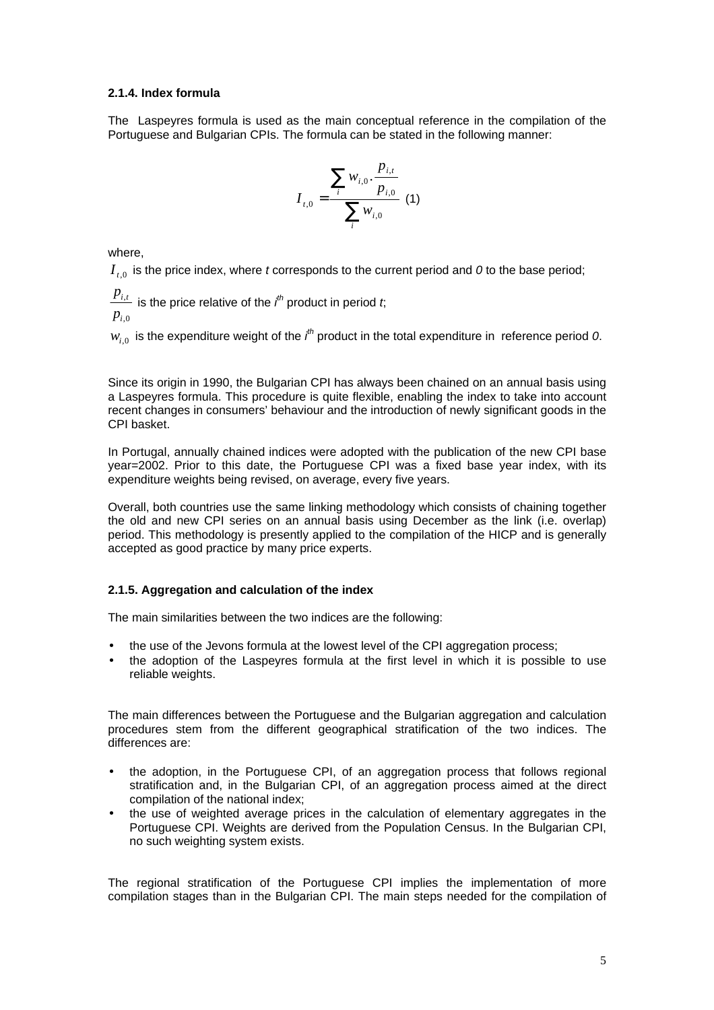### **2.1.4. Index formula**

The Laspeyres formula is used as the main conceptual reference in the compilation of the Portuguese and Bulgarian CPIs. The formula can be stated in the following manner:

$$
I_{t,0} = \frac{\sum_{i} w_{i,0} \cdot \frac{p_{i,t}}{p_{i,0}}}{\sum_{i} w_{i,0}} \tag{1}
$$

where,

 $I_{\text{A}}$  is the price index, where *t* corresponds to the current period and 0 to the base period;

 $p_{i,0}$  $\frac{p_{i,t}}{p_{i,t}}$  is the price relative of the  $\it i^{\it th}$  product in period  $\it t$ ;

 $w_{i,0}$  is the expenditure weight of the  $\it i^{th}$  product in the total expenditure in reference period 0.

Since its origin in 1990, the Bulgarian CPI has always been chained on an annual basis using a Laspeyres formula. This procedure is quite flexible, enabling the index to take into account recent changes in consumers' behaviour and the introduction of newly significant goods in the CPI basket.

In Portugal, annually chained indices were adopted with the publication of the new CPI base year=2002. Prior to this date, the Portuguese CPI was a fixed base year index, with its expenditure weights being revised, on average, every five years.

Overall, both countries use the same linking methodology which consists of chaining together the old and new CPI series on an annual basis using December as the link (i.e. overlap) period. This methodology is presently applied to the compilation of the HICP and is generally accepted as good practice by many price experts.

## **2.1.5. Aggregation and calculation of the index**

The main similarities between the two indices are the following:

- the use of the Jevons formula at the lowest level of the CPI aggregation process;
- the adoption of the Laspeyres formula at the first level in which it is possible to use reliable weights.

The main differences between the Portuguese and the Bulgarian aggregation and calculation procedures stem from the different geographical stratification of the two indices. The differences are:

- the adoption, in the Portuguese CPI, of an aggregation process that follows regional stratification and, in the Bulgarian CPI, of an aggregation process aimed at the direct compilation of the national index;
- the use of weighted average prices in the calculation of elementary aggregates in the Portuguese CPI. Weights are derived from the Population Census. In the Bulgarian CPI, no such weighting system exists.

The regional stratification of the Portuguese CPI implies the implementation of more compilation stages than in the Bulgarian CPI. The main steps needed for the compilation of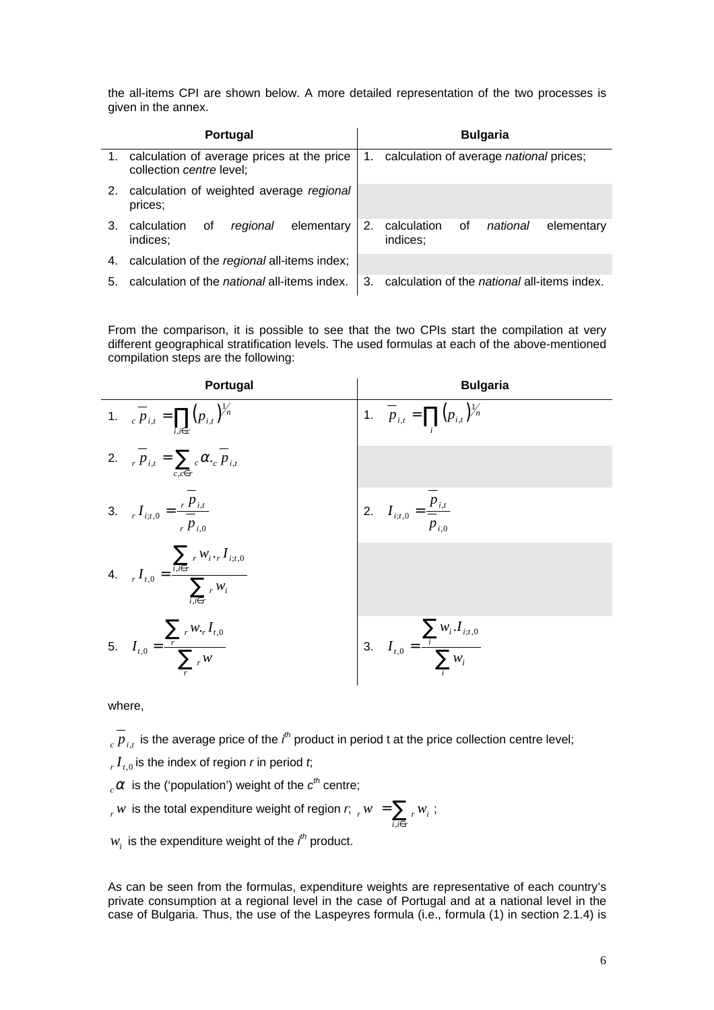the all-items CPI are shown below. A more detailed representation of the two processes is given in the annex.

| <b>Portugal</b> |                                                                           |    | <b>Bulgaria</b>                                         |  |  |  |
|-----------------|---------------------------------------------------------------------------|----|---------------------------------------------------------|--|--|--|
|                 | 1. calculation of average prices at the price<br>collection centre level; |    | 1. calculation of average national prices;              |  |  |  |
| 2.              | calculation of weighted average regional<br>prices;                       |    |                                                         |  |  |  |
| 3.              | elementary<br>calculation<br>οf<br>regional<br>indices;                   |    | 0f<br>calculation<br>national<br>elementary<br>indices; |  |  |  |
| 4.              | calculation of the regional all-items index;                              |    |                                                         |  |  |  |
| 5.              | calculation of the <i>national</i> all-items index.                       | 3. | calculation of the <i>national</i> all-items index.     |  |  |  |

From the comparison, it is possible to see that the two CPIs start the compilation at very different geographical stratification levels. The used formulas at each of the above-mentioned compilation steps are the following:

| Portugal                                                                                                          | <b>Bulgaria</b>                                               |
|-------------------------------------------------------------------------------------------------------------------|---------------------------------------------------------------|
| 1. $_{c} \overline{p}_{i,t} = \prod (p_{i,t})^{\frac{1}{n}}$<br>$i, i \in c$                                      | 1. $\overline{p}_{i,t} = \prod (p_{i,t})^{\frac{1}{n}}$       |
| 2. $\overline{p}_{i,t} = \sum_{c} \alpha_{c} \overline{p}_{i,t}$<br>$c$ , $c \in r$                               |                                                               |
| 3. $I_{i;t,0} = \frac{r P_{i,t}}{r P_{i,0}}$                                                                      | 2. $I_{i;t,0} = \frac{p_{i,t}}{p_{i,0}}$                      |
| $\sum_{i} w_i \cdot r I_{i;t,0}$<br>4. $_{r} I_{t,0} = \frac{i_{i} i \epsilon r}{\sum_{r} w_{i}}$<br>$i, i \in r$ |                                                               |
| 5. $I_{t,0} = \frac{\sum_{r} w_{r} I_{t,0}}{\sum_{r} w_{r}}$                                                      | $I_{t,0} = \frac{\sum_{i} w_i I_{i;t,0}}{\sum_{i} w_i}$<br>3. |

where,

 $_c$   $p$   $_{i,t}$  is the average price of the  $\it i^{\it th}$  product in period t at the price collection centre level;

- $r T_{t,0}$  is the index of region *r* in period *t*;
- $c_{c} \alpha$  is the ('population') weight of the  $c^{th}$  centre;

 $r_{\rm r}$   $w$  is the total expenditure weight of region  $r_{\rm r}$  ,  $w_{\rm r}=\sum_{i,i\in r}$  $i, i \in r$  $r_{r} w = \sum_{i} w_{i}$ , ;

 $w_i$  is the expenditure weight of the  $\it i^{th}$  product.

As can be seen from the formulas, expenditure weights are representative of each country's private consumption at a regional level in the case of Portugal and at a national level in the case of Bulgaria. Thus, the use of the Laspeyres formula (i.e., formula (1) in section 2.1.4) is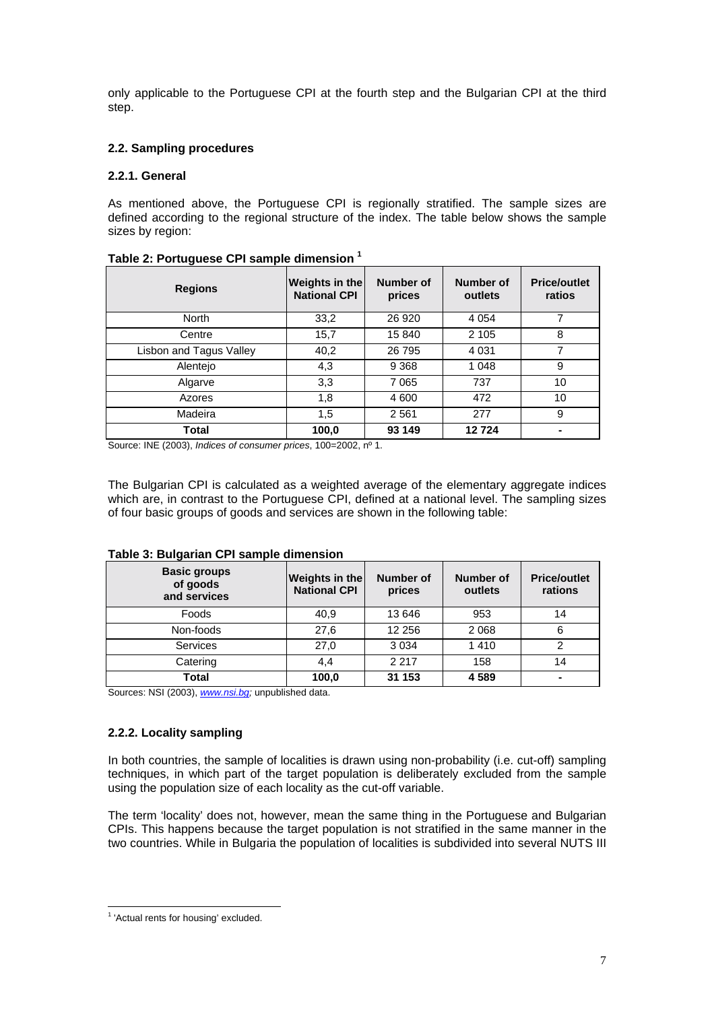only applicable to the Portuguese CPI at the fourth step and the Bulgarian CPI at the third step.

## **2.2. Sampling procedures**

## **2.2.1. General**

As mentioned above, the Portuguese CPI is regionally stratified. The sample sizes are defined according to the regional structure of the index. The table below shows the sample sizes by region:

| <b>Regions</b>          | Weights in the<br><b>National CPI</b> | Number of<br>prices | Number of<br>outlets | <b>Price/outlet</b><br>ratios |
|-------------------------|---------------------------------------|---------------------|----------------------|-------------------------------|
| <b>North</b>            | 33,2                                  | 26 9 20             | 4 0 5 4              | 7                             |
| Centre                  | 15,7                                  | 15 840              | 2 1 0 5              | 8                             |
| Lisbon and Tagus Valley | 40,2                                  | 26 795              | 4 0 31               | 7                             |
| Alentejo                | 4,3                                   | 9 3 6 8             | 1 0 4 8              | 9                             |
| Algarve                 | 3,3                                   | 7065                | 737                  | 10                            |
| Azores                  | 1,8                                   | 4 600               | 472                  | 10                            |
| Madeira                 | 1,5                                   | 2561                | 277                  | 9                             |
| Total                   | 100,0                                 | 93 149              | 12724                |                               |

### **Table 2: Portuguese CPI sample dimension 1**

Source: INE (2003), *Indices of consumer prices*, 100=2002, nº 1.

The Bulgarian CPI is calculated as a weighted average of the elementary aggregate indices which are, in contrast to the Portuguese CPI, defined at a national level. The sampling sizes of four basic groups of goods and services are shown in the following table:

| <b>Basic groups</b><br>of goods<br>and services | <b>Weights in the</b><br><b>National CPI</b> | Number of<br>prices | Number of<br>outlets | <b>Price/outlet</b><br>rations |
|-------------------------------------------------|----------------------------------------------|---------------------|----------------------|--------------------------------|
| Foods                                           | 40.9                                         | 13 646              | 953                  | 14                             |
| Non-foods                                       | 27,6                                         | 12 25 6             | 2 0 6 8              | 6                              |
| <b>Services</b>                                 | 27,0                                         | 3 0 3 4             | 1410                 | ົ                              |
| Catering                                        | 4,4                                          | 2 2 1 7             | 158                  | 14                             |
| Total                                           | 100,0                                        | 31 153              | 4589                 | $\overline{\phantom{0}}$       |

## **Table 3: Bulgarian CPI sample dimension**

Sources: NSI (2003), *www.nsi.bg;* unpublished data.

## **2.2.2. Locality sampling**

In both countries, the sample of localities is drawn using non-probability (i.e. cut-off) sampling techniques, in which part of the target population is deliberately excluded from the sample using the population size of each locality as the cut-off variable.

The term 'locality' does not, however, mean the same thing in the Portuguese and Bulgarian CPIs. This happens because the target population is not stratified in the same manner in the two countries. While in Bulgaria the population of localities is subdivided into several NUTS III

 1 'Actual rents for housing' excluded.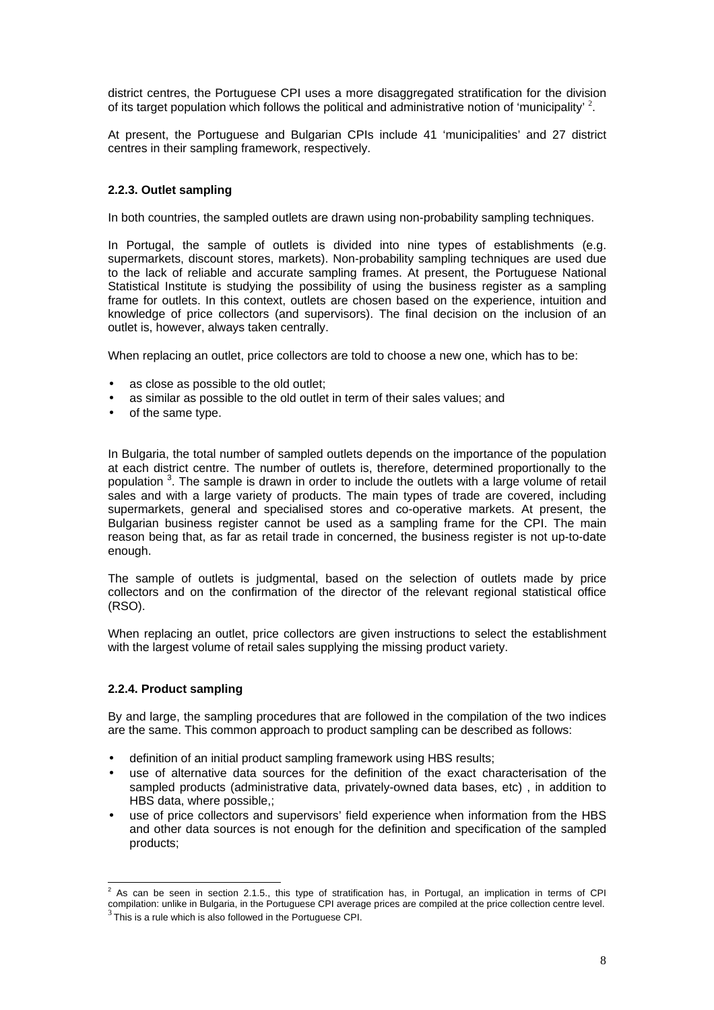district centres, the Portuguese CPI uses a more disaggregated stratification for the division of its target population which follows the political and administrative notion of 'municipality' <sup>2</sup>.

At present, the Portuguese and Bulgarian CPIs include 41 'municipalities' and 27 district centres in their sampling framework, respectively.

## **2.2.3. Outlet sampling**

In both countries, the sampled outlets are drawn using non-probability sampling techniques.

In Portugal, the sample of outlets is divided into nine types of establishments (e.g. supermarkets, discount stores, markets). Non-probability sampling techniques are used due to the lack of reliable and accurate sampling frames. At present, the Portuguese National Statistical Institute is studying the possibility of using the business register as a sampling frame for outlets. In this context, outlets are chosen based on the experience, intuition and knowledge of price collectors (and supervisors). The final decision on the inclusion of an outlet is, however, always taken centrally.

When replacing an outlet, price collectors are told to choose a new one, which has to be:

- as close as possible to the old outlet:
- as similar as possible to the old outlet in term of their sales values; and
- of the same type.

In Bulgaria, the total number of sampled outlets depends on the importance of the population at each district centre. The number of outlets is, therefore, determined proportionally to the population <sup>3</sup>. The sample is drawn in order to include the outlets with a large volume of retail sales and with a large variety of products. The main types of trade are covered, including supermarkets, general and specialised stores and co-operative markets. At present, the Bulgarian business register cannot be used as a sampling frame for the CPI. The main reason being that, as far as retail trade in concerned, the business register is not up-to-date enough.

The sample of outlets is judgmental, based on the selection of outlets made by price collectors and on the confirmation of the director of the relevant regional statistical office (RSO).

When replacing an outlet, price collectors are given instructions to select the establishment with the largest volume of retail sales supplying the missing product variety.

## **2.2.4. Product sampling**

By and large, the sampling procedures that are followed in the compilation of the two indices are the same. This common approach to product sampling can be described as follows:

- definition of an initial product sampling framework using HBS results;
- use of alternative data sources for the definition of the exact characterisation of the sampled products (administrative data, privately-owned data bases, etc) , in addition to HBS data, where possible,;
- use of price collectors and supervisors' field experience when information from the HBS and other data sources is not enough for the definition and specification of the sampled products;

 2 As can be seen in section 2.1.5., this type of stratification has, in Portugal, an implication in terms of CPI compilation: unlike in Bulgaria, in the Portuguese CPI average prices are compiled at the price collection centre level.<br><sup>3</sup>This is a rule which is also followed in the Portuguese CPI.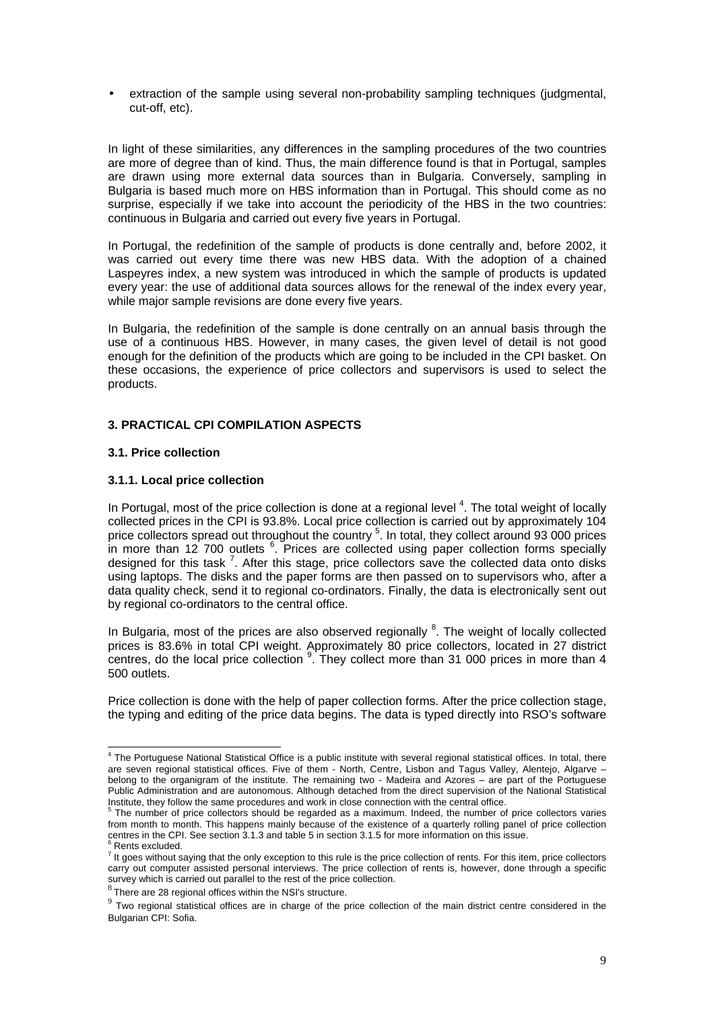• extraction of the sample using several non-probability sampling techniques (judgmental, cut-off, etc).

In light of these similarities, any differences in the sampling procedures of the two countries are more of degree than of kind. Thus, the main difference found is that in Portugal, samples are drawn using more external data sources than in Bulgaria. Conversely, sampling in Bulgaria is based much more on HBS information than in Portugal. This should come as no surprise, especially if we take into account the periodicity of the HBS in the two countries: continuous in Bulgaria and carried out every five years in Portugal.

In Portugal, the redefinition of the sample of products is done centrally and, before 2002, it was carried out every time there was new HBS data. With the adoption of a chained Laspeyres index, a new system was introduced in which the sample of products is updated every year: the use of additional data sources allows for the renewal of the index every year, while major sample revisions are done every five years.

In Bulgaria, the redefinition of the sample is done centrally on an annual basis through the use of a continuous HBS. However, in many cases, the given level of detail is not good enough for the definition of the products which are going to be included in the CPI basket. On these occasions, the experience of price collectors and supervisors is used to select the products.

### **3. PRACTICAL CPI COMPILATION ASPECTS**

### **3.1. Price collection**

### **3.1.1. Local price collection**

In Portugal, most of the price collection is done at a regional level  $4$ . The total weight of locally collected prices in the CPI is 93.8%. Local price collection is carried out by approximately 104 price collectors spread out throughout the country <sup>5</sup>. In total, they collect around 93 000 prices in more than 12 700 outlets <sup>6</sup>. Prices are collected using paper collection forms specially designed for this task <sup>7</sup>. After this stage, price collectors save the collected data onto disks using laptops. The disks and the paper forms are then passed on to supervisors who, after a data quality check, send it to regional co-ordinators. Finally, the data is electronically sent out by regional co-ordinators to the central office.

In Bulgaria, most of the prices are also observed regionally <sup>8</sup>. The weight of locally collected prices is 83.6% in total CPI weight. Approximately 80 price collectors, located in 27 district centres, do the local price collection <sup>9</sup>. They collect more than 31 000 prices in more than 4 500 outlets.

Price collection is done with the help of paper collection forms. After the price collection stage, the typing and editing of the price data begins. The data is typed directly into RSO's software

 4 The Portuguese National Statistical Office is a public institute with several regional statistical offices. In total, there are seven regional statistical offices. Five of them - North, Centre, Lisbon and Tagus Valley, Alentejo, Algarve – belong to the organigram of the institute. The remaining two - Madeira and Azores – are part of the Portuguese Public Administration and are autonomous. Although detached from the direct supervision of the National Statistical Institute, they follow the same procedures and work in close connection with the central office.<br>
<sup>5</sup> The number of price cells that it is the little state of the central office.

The number of price collectors should be regarded as a maximum. Indeed, the number of price collectors varies from month to month. This happens mainly because of the existence of a quarterly rolling panel of price collection centres in the CPI. See section 3.1.3 and table 5 in section 3.1.5 for more information on this issue. <sup>6</sup>

 $6$  Rents excluded.

 $<sup>7</sup>$  It goes without saying that the only exception to this rule is the price collection of rents. For this item, price collectors</sup> carry out computer assisted personal interviews. The price collection of rents is, however, done through a specific survey which is carried out parallel to the rest of the price collection.

 $8$  There are 28 regional offices within the NSI's structure.

 $9$  Two regional statistical offices are in charge of the price collection of the main district centre considered in the Bulgarian CPI: Sofia.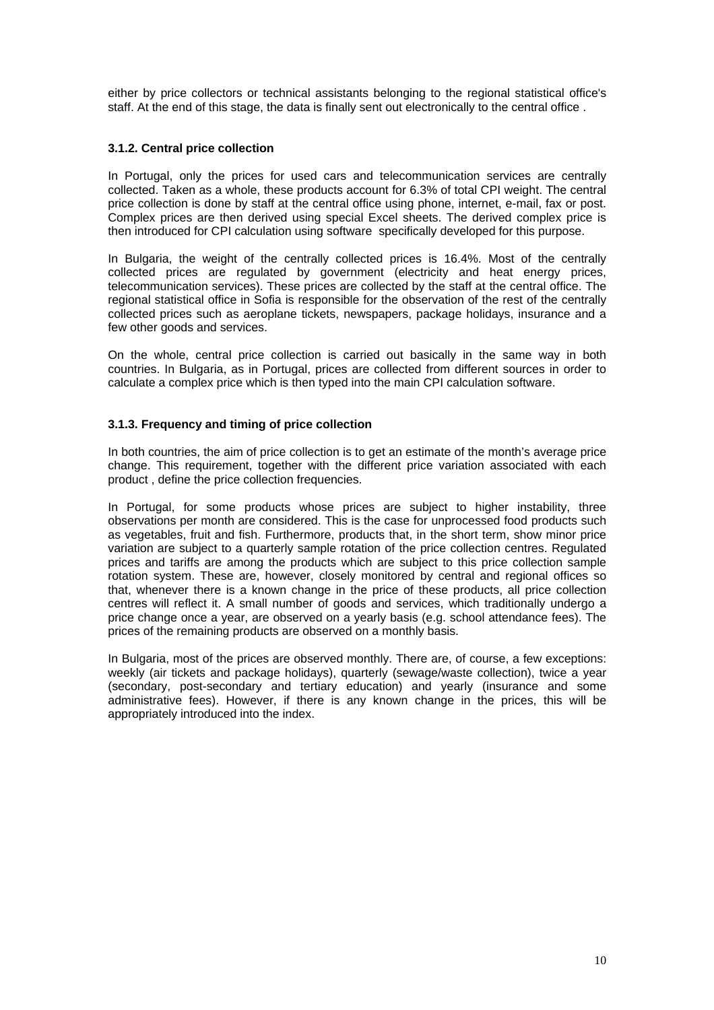either by price collectors or technical assistants belonging to the regional statistical office's staff. At the end of this stage, the data is finally sent out electronically to the central office .

## **3.1.2. Central price collection**

In Portugal, only the prices for used cars and telecommunication services are centrally collected. Taken as a whole, these products account for 6.3% of total CPI weight. The central price collection is done by staff at the central office using phone, internet, e-mail, fax or post. Complex prices are then derived using special Excel sheets. The derived complex price is then introduced for CPI calculation using software specifically developed for this purpose.

In Bulgaria, the weight of the centrally collected prices is 16.4%. Most of the centrally collected prices are regulated by government (electricity and heat energy prices, telecommunication services). These prices are collected by the staff at the central office. The regional statistical office in Sofia is responsible for the observation of the rest of the centrally collected prices such as aeroplane tickets, newspapers, package holidays, insurance and a few other goods and services.

On the whole, central price collection is carried out basically in the same way in both countries. In Bulgaria, as in Portugal, prices are collected from different sources in order to calculate a complex price which is then typed into the main CPI calculation software.

### **3.1.3. Frequency and timing of price collection**

In both countries, the aim of price collection is to get an estimate of the month's average price change. This requirement, together with the different price variation associated with each product , define the price collection frequencies.

In Portugal, for some products whose prices are subject to higher instability, three observations per month are considered. This is the case for unprocessed food products such as vegetables, fruit and fish. Furthermore, products that, in the short term, show minor price variation are subject to a quarterly sample rotation of the price collection centres. Regulated prices and tariffs are among the products which are subject to this price collection sample rotation system. These are, however, closely monitored by central and regional offices so that, whenever there is a known change in the price of these products, all price collection centres will reflect it. A small number of goods and services, which traditionally undergo a price change once a year, are observed on a yearly basis (e.g. school attendance fees). The prices of the remaining products are observed on a monthly basis.

In Bulgaria, most of the prices are observed monthly. There are, of course, a few exceptions: weekly (air tickets and package holidays), quarterly (sewage/waste collection), twice a year (secondary, post-secondary and tertiary education) and yearly (insurance and some administrative fees). However, if there is any known change in the prices, this will be appropriately introduced into the index.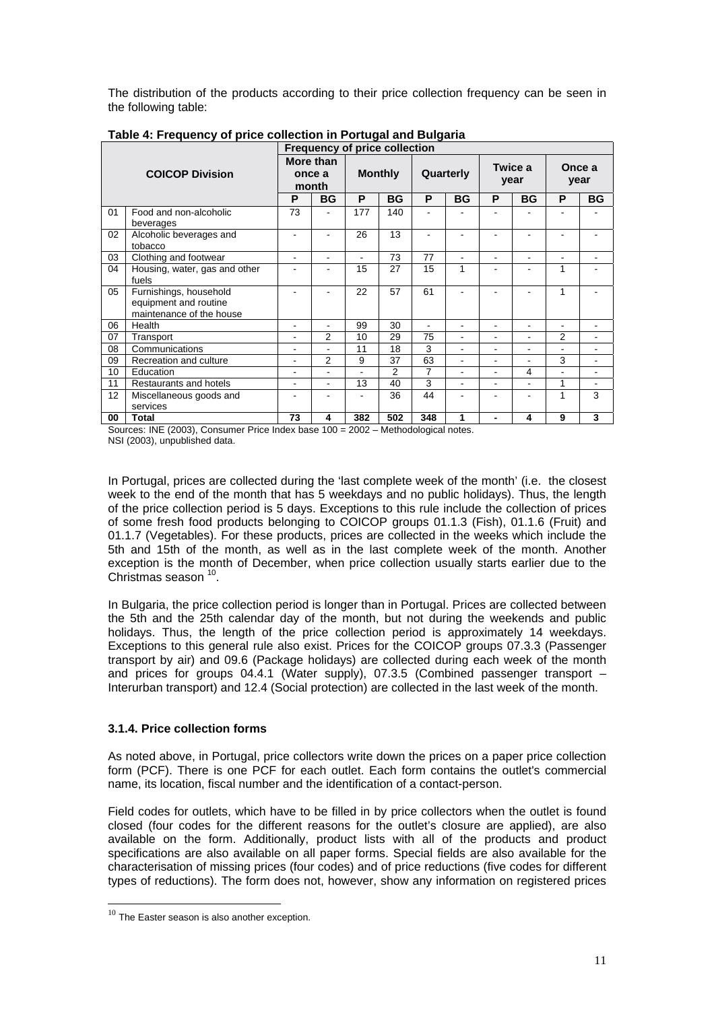The distribution of the products according to their price collection frequency can be seen in the following table:

|    |                                                                             | <b>Frequency of price collection</b> |                              |     |                |                |           |                |                 |                |                |
|----|-----------------------------------------------------------------------------|--------------------------------------|------------------------------|-----|----------------|----------------|-----------|----------------|-----------------|----------------|----------------|
|    | <b>COICOP Division</b>                                                      |                                      | More than<br>once a<br>month |     | <b>Monthly</b> |                | Quarterly |                | Twice a<br>year |                | Once a<br>year |
|    |                                                                             | P                                    | <b>BG</b>                    | P   | <b>BG</b>      | P              | <b>BG</b> | P              | <b>BG</b>       | P              | <b>BG</b>      |
| 01 | Food and non-alcoholic<br>beverages                                         | 73                                   |                              | 177 | 140            |                |           |                |                 |                |                |
| 02 | Alcoholic beverages and<br>tobacco                                          |                                      |                              | 26  | 13             |                |           |                |                 |                |                |
| 03 | Clothing and footwear                                                       | $\blacksquare$                       |                              | ÷.  | 73             | 77             | ۰         | ۰              | ٠               | $\equiv$       |                |
| 04 | Housing, water, gas and other<br>fuels                                      |                                      |                              | 15  | 27             | 15             | 1         |                |                 | 1              |                |
| 05 | Furnishings, household<br>equipment and routine<br>maintenance of the house |                                      |                              | 22  | 57             | 61             |           |                |                 | 1              |                |
| 06 | Health                                                                      | $\blacksquare$                       |                              | 99  | 30             | $\blacksquare$ | ۰         | $\blacksquare$ | $\overline{a}$  | $\sim$         | ٠              |
| 07 | Transport                                                                   | ۰                                    | $\overline{2}$               | 10  | 29             | 75             |           |                | ٠               | $\overline{2}$ | ٠              |
| 08 | Communications                                                              |                                      |                              | 11  | 18             | 3              |           | $\overline{a}$ | ٠               | $\blacksquare$ | ۰              |
| 09 | Recreation and culture                                                      | ۰                                    | $\overline{2}$               | 9   | 37             | 63             |           |                | ٠               | 3              | ٠              |
| 10 | Education                                                                   | ۰                                    |                              |     | $\overline{2}$ | 7              |           |                | 4               |                |                |
| 11 | Restaurants and hotels                                                      | ۰                                    |                              | 13  | 40             | 3              |           |                | ۰               | 1              | ٠              |
| 12 | Miscellaneous goods and<br>services                                         | ۰                                    |                              |     | 36             | 44             |           |                |                 | 1              | 3              |
| 00 | Total<br>$H = (0.000)$                                                      | 73<br>.                              | 4                            | 382 | 502            | 348            | 1         | $\blacksquare$ | 4               | 9              | 3              |

**Table 4: Frequency of price collection in Portugal and Bulgaria**

Sources: INE (2003), Consumer Price Index base 100 = 2002 – Methodological notes. NSI (2003), unpublished data.

In Portugal, prices are collected during the 'last complete week of the month' (i.e. the closest week to the end of the month that has 5 weekdays and no public holidays). Thus, the length of the price collection period is 5 days. Exceptions to this rule include the collection of prices of some fresh food products belonging to COICOP groups 01.1.3 (Fish), 01.1.6 (Fruit) and 01.1.7 (Vegetables). For these products, prices are collected in the weeks which include the 5th and 15th of the month, as well as in the last complete week of the month. Another exception is the month of December, when price collection usually starts earlier due to the Christmas season 10.

In Bulgaria, the price collection period is longer than in Portugal. Prices are collected between the 5th and the 25th calendar day of the month, but not during the weekends and public holidays. Thus, the length of the price collection period is approximately 14 weekdays. Exceptions to this general rule also exist. Prices for the COICOP groups 07.3.3 (Passenger transport by air) and 09.6 (Package holidays) are collected during each week of the month and prices for groups 04.4.1 (Water supply), 07.3.5 (Combined passenger transport – Interurban transport) and 12.4 (Social protection) are collected in the last week of the month.

## **3.1.4. Price collection forms**

As noted above, in Portugal, price collectors write down the prices on a paper price collection form (PCF). There is one PCF for each outlet. Each form contains the outlet's commercial name, its location, fiscal number and the identification of a contact-person.

Field codes for outlets, which have to be filled in by price collectors when the outlet is found closed (four codes for the different reasons for the outlet's closure are applied), are also available on the form. Additionally, product lists with all of the products and product specifications are also available on all paper forms. Special fields are also available for the characterisation of missing prices (four codes) and of price reductions (five codes for different types of reductions). The form does not, however, show any information on registered prices

l

 $10$  The Easter season is also another exception.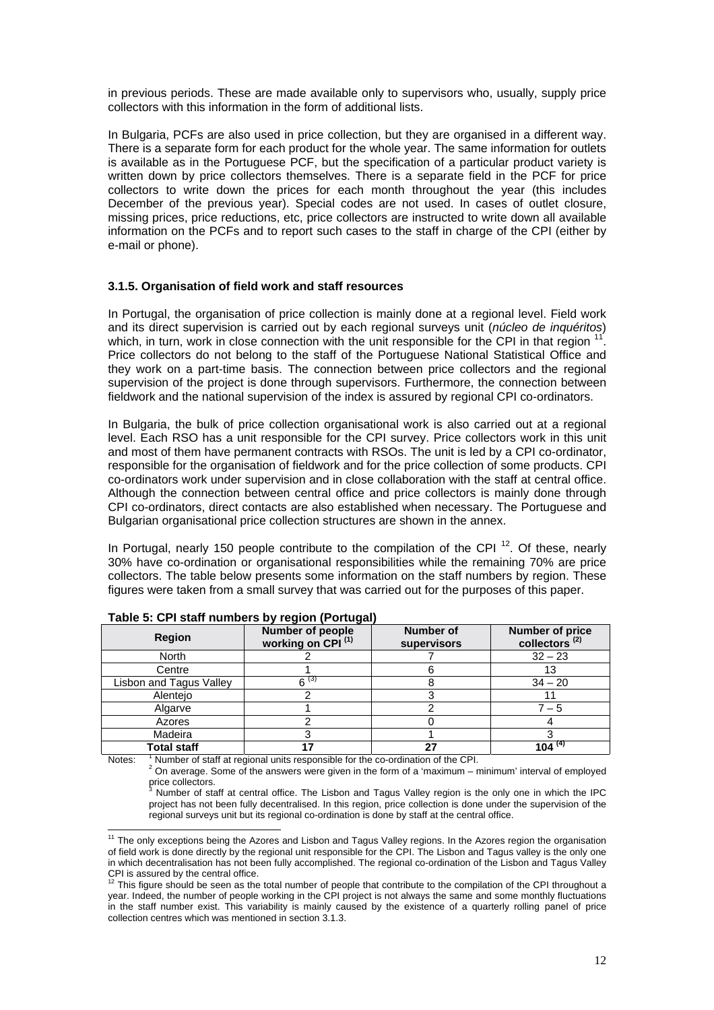in previous periods. These are made available only to supervisors who, usually, supply price collectors with this information in the form of additional lists.

In Bulgaria, PCFs are also used in price collection, but they are organised in a different way. There is a separate form for each product for the whole year. The same information for outlets is available as in the Portuguese PCF, but the specification of a particular product variety is written down by price collectors themselves. There is a separate field in the PCF for price collectors to write down the prices for each month throughout the year (this includes December of the previous year). Special codes are not used. In cases of outlet closure, missing prices, price reductions, etc, price collectors are instructed to write down all available information on the PCFs and to report such cases to the staff in charge of the CPI (either by e-mail or phone).

### **3.1.5. Organisation of field work and staff resources**

In Portugal, the organisation of price collection is mainly done at a regional level. Field work and its direct supervision is carried out by each regional surveys unit (*núcleo de inquéritos*) which, in turn, work in close connection with the unit responsible for the CPI in that region <sup>11</sup>. Price collectors do not belong to the staff of the Portuguese National Statistical Office and they work on a part-time basis. The connection between price collectors and the regional supervision of the project is done through supervisors. Furthermore, the connection between fieldwork and the national supervision of the index is assured by regional CPI co-ordinators.

In Bulgaria, the bulk of price collection organisational work is also carried out at a regional level. Each RSO has a unit responsible for the CPI survey. Price collectors work in this unit and most of them have permanent contracts with RSOs. The unit is led by a CPI co-ordinator, responsible for the organisation of fieldwork and for the price collection of some products. CPI co-ordinators work under supervision and in close collaboration with the staff at central office. Although the connection between central office and price collectors is mainly done through CPI co-ordinators, direct contacts are also established when necessary. The Portuguese and Bulgarian organisational price collection structures are shown in the annex.

In Portugal, nearly 150 people contribute to the compilation of the CPI <sup>12</sup>. Of these, nearly 30% have co-ordination or organisational responsibilities while the remaining 70% are price collectors. The table below presents some information on the staff numbers by region. These figures were taken from a small survey that was carried out for the purposes of this paper.

| <b>Region</b>           | Number of people<br>working on CPI <sup>(1)</sup> | <b>Number of</b><br>supervisors | <b>Number of price</b><br>collectors <sup>(2)</sup> |
|-------------------------|---------------------------------------------------|---------------------------------|-----------------------------------------------------|
| North                   |                                                   |                                 | $32 - 23$                                           |
| Centre                  |                                                   |                                 | 13                                                  |
| Lisbon and Tagus Valley | $6^{(3)}$                                         |                                 | $34 - 20$                                           |
| Alentejo                |                                                   |                                 |                                                     |
| Algarve                 |                                                   |                                 | 7 – 5                                               |
| Azores                  |                                                   |                                 |                                                     |
| Madeira                 |                                                   |                                 |                                                     |
| <b>Total staff</b>      |                                                   | 27                              | 104 $(4)$                                           |

**Table 5: CPI staff numbers by region (Portugal)**

Notes: <sup>1</sup> Number of staff at regional units responsible for the co-ordination of the CPI.

 $^{\rm ^1}$  Number of staff at regional units responsible for the co-ordination of the CPI.<br><sup>2</sup> On average. Some of the answers were given in the form of a 'maximum – minimum' interval of employed price collectors.

 Number of staff at central office. The Lisbon and Tagus Valley region is the only one in which the IPC project has not been fully decentralised. In this region, price collection is done under the supervision of the regional surveys unit but its regional co-ordination is done by staff at the central office.

 $\overline{a}$  $11$  The only exceptions being the Azores and Lisbon and Tagus Valley regions. In the Azores region the organisation of field work is done directly by the regional unit responsible for the CPI. The Lisbon and Tagus valley is the only one in which decentralisation has not been fully accomplished. The regional co-ordination of the Lisbon and Tagus Valley CPI is assured by the central office.

This figure should be seen as the total number of people that contribute to the compilation of the CPI throughout a year. Indeed, the number of people working in the CPI project is not always the same and some monthly fluctuations in the staff number exist. This variability is mainly caused by the existence of a quarterly rolling panel of price collection centres which was mentioned in section 3.1.3.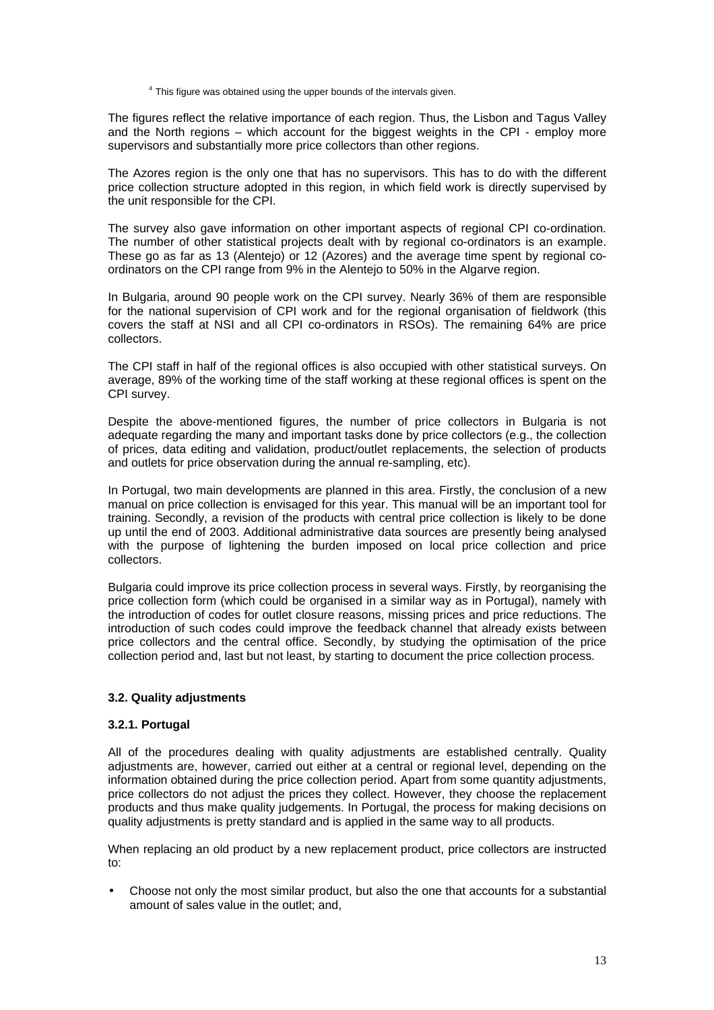$4$  This figure was obtained using the upper bounds of the intervals given.

The figures reflect the relative importance of each region. Thus, the Lisbon and Tagus Valley and the North regions – which account for the biggest weights in the CPI - employ more supervisors and substantially more price collectors than other regions.

The Azores region is the only one that has no supervisors. This has to do with the different price collection structure adopted in this region, in which field work is directly supervised by the unit responsible for the CPI.

The survey also gave information on other important aspects of regional CPI co-ordination. The number of other statistical projects dealt with by regional co-ordinators is an example. These go as far as 13 (Alentejo) or 12 (Azores) and the average time spent by regional coordinators on the CPI range from 9% in the Alentejo to 50% in the Algarve region.

In Bulgaria, around 90 people work on the CPI survey. Nearly 36% of them are responsible for the national supervision of CPI work and for the regional organisation of fieldwork (this covers the staff at NSI and all CPI co-ordinators in RSOs). The remaining 64% are price collectors.

The CPI staff in half of the regional offices is also occupied with other statistical surveys. On average, 89% of the working time of the staff working at these regional offices is spent on the CPI survey.

Despite the above-mentioned figures, the number of price collectors in Bulgaria is not adequate regarding the many and important tasks done by price collectors (e.g., the collection of prices, data editing and validation, product/outlet replacements, the selection of products and outlets for price observation during the annual re-sampling, etc).

In Portugal, two main developments are planned in this area. Firstly, the conclusion of a new manual on price collection is envisaged for this year. This manual will be an important tool for training. Secondly, a revision of the products with central price collection is likely to be done up until the end of 2003. Additional administrative data sources are presently being analysed with the purpose of lightening the burden imposed on local price collection and price collectors.

Bulgaria could improve its price collection process in several ways. Firstly, by reorganising the price collection form (which could be organised in a similar way as in Portugal), namely with the introduction of codes for outlet closure reasons, missing prices and price reductions. The introduction of such codes could improve the feedback channel that already exists between price collectors and the central office. Secondly, by studying the optimisation of the price collection period and, last but not least, by starting to document the price collection process.

## **3.2. Quality adjustments**

## **3.2.1. Portugal**

All of the procedures dealing with quality adjustments are established centrally. Quality adjustments are, however, carried out either at a central or regional level, depending on the information obtained during the price collection period. Apart from some quantity adjustments, price collectors do not adjust the prices they collect. However, they choose the replacement products and thus make quality judgements. In Portugal, the process for making decisions on quality adjustments is pretty standard and is applied in the same way to all products.

When replacing an old product by a new replacement product, price collectors are instructed to:

• Choose not only the most similar product, but also the one that accounts for a substantial amount of sales value in the outlet; and,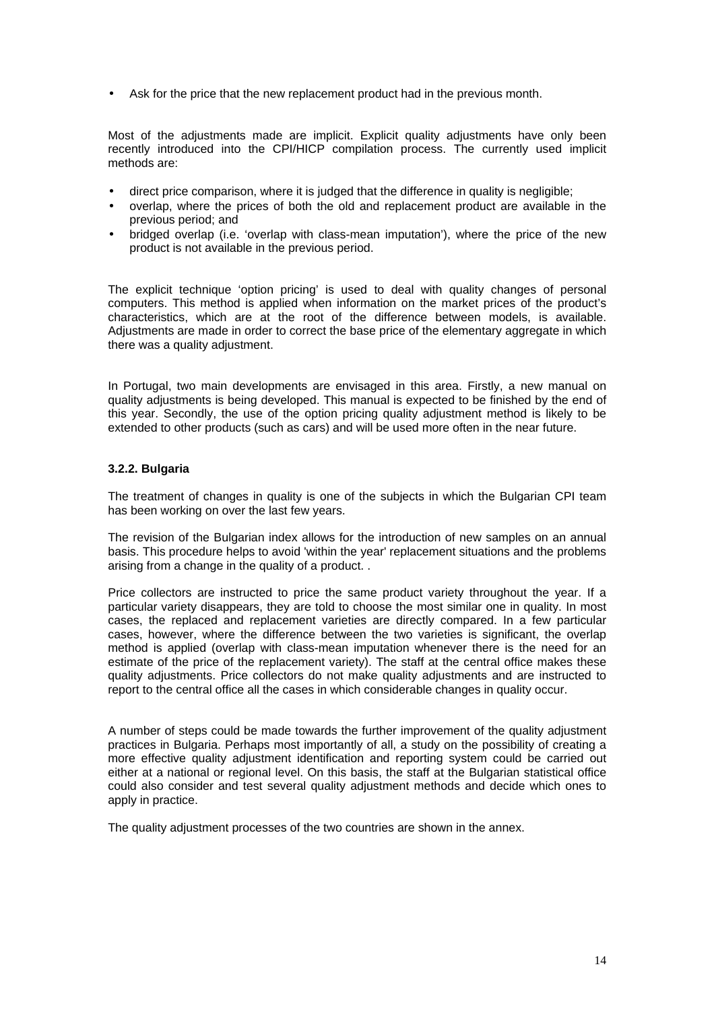• Ask for the price that the new replacement product had in the previous month.

Most of the adjustments made are implicit. Explicit quality adjustments have only been recently introduced into the CPI/HICP compilation process. The currently used implicit methods are:

- direct price comparison, where it is judged that the difference in quality is negligible;
- overlap, where the prices of both the old and replacement product are available in the previous period; and
- bridged overlap (i.e. 'overlap with class-mean imputation'), where the price of the new product is not available in the previous period.

The explicit technique 'option pricing' is used to deal with quality changes of personal computers. This method is applied when information on the market prices of the product's characteristics, which are at the root of the difference between models, is available. Adjustments are made in order to correct the base price of the elementary aggregate in which there was a quality adjustment.

In Portugal, two main developments are envisaged in this area. Firstly, a new manual on quality adjustments is being developed. This manual is expected to be finished by the end of this year. Secondly, the use of the option pricing quality adjustment method is likely to be extended to other products (such as cars) and will be used more often in the near future.

### **3.2.2. Bulgaria**

The treatment of changes in quality is one of the subjects in which the Bulgarian CPI team has been working on over the last few years.

The revision of the Bulgarian index allows for the introduction of new samples on an annual basis. This procedure helps to avoid 'within the year' replacement situations and the problems arising from a change in the quality of a product. .

Price collectors are instructed to price the same product variety throughout the year. If a particular variety disappears, they are told to choose the most similar one in quality. In most cases, the replaced and replacement varieties are directly compared. In a few particular cases, however, where the difference between the two varieties is significant, the overlap method is applied (overlap with class-mean imputation whenever there is the need for an estimate of the price of the replacement variety). The staff at the central office makes these quality adjustments. Price collectors do not make quality adjustments and are instructed to report to the central office all the cases in which considerable changes in quality occur.

A number of steps could be made towards the further improvement of the quality adjustment practices in Bulgaria. Perhaps most importantly of all, a study on the possibility of creating a more effective quality adjustment identification and reporting system could be carried out either at a national or regional level. On this basis, the staff at the Bulgarian statistical office could also consider and test several quality adjustment methods and decide which ones to apply in practice.

The quality adjustment processes of the two countries are shown in the annex.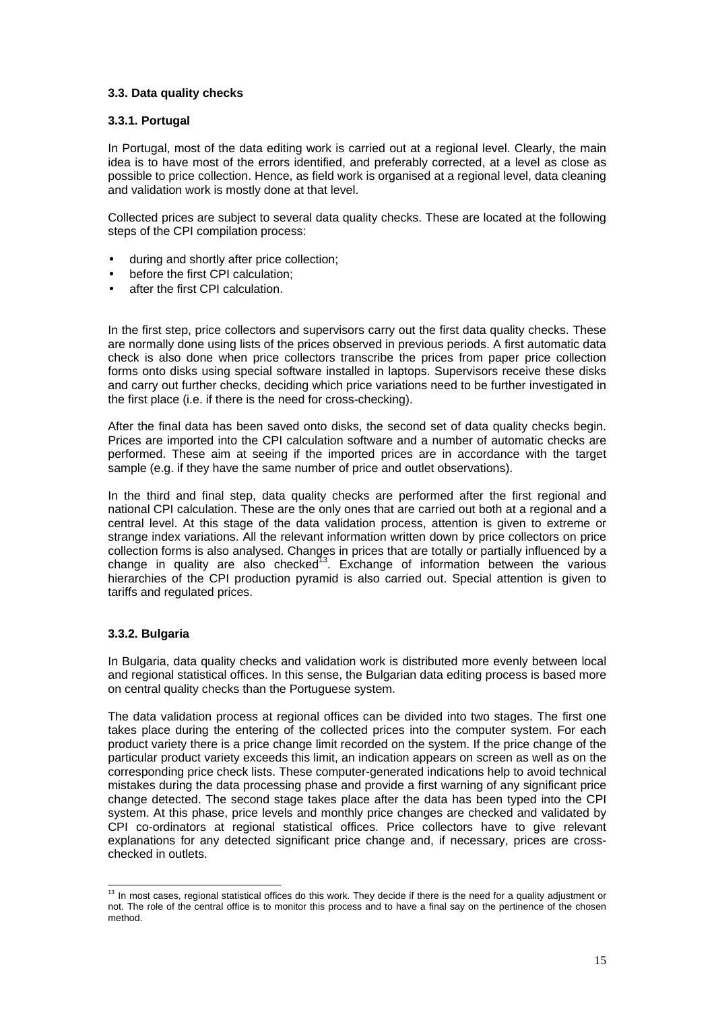## **3.3. Data quality checks**

## **3.3.1. Portugal**

In Portugal, most of the data editing work is carried out at a regional level. Clearly, the main idea is to have most of the errors identified, and preferably corrected, at a level as close as possible to price collection. Hence, as field work is organised at a regional level, data cleaning and validation work is mostly done at that level.

Collected prices are subject to several data quality checks. These are located at the following steps of the CPI compilation process:

- during and shortly after price collection;
- before the first CPI calculation;
- after the first CPI calculation.

In the first step, price collectors and supervisors carry out the first data quality checks. These are normally done using lists of the prices observed in previous periods. A first automatic data check is also done when price collectors transcribe the prices from paper price collection forms onto disks using special software installed in laptops. Supervisors receive these disks and carry out further checks, deciding which price variations need to be further investigated in the first place (i.e. if there is the need for cross-checking).

After the final data has been saved onto disks, the second set of data quality checks begin. Prices are imported into the CPI calculation software and a number of automatic checks are performed. These aim at seeing if the imported prices are in accordance with the target sample (e.g. if they have the same number of price and outlet observations).

In the third and final step, data quality checks are performed after the first regional and national CPI calculation. These are the only ones that are carried out both at a regional and a central level. At this stage of the data validation process, attention is given to extreme or strange index variations. All the relevant information written down by price collectors on price collection forms is also analysed. Changes in prices that are totally or partially influenced by a change in quality are also checked<sup>13</sup>. Exchange of information between the various hierarchies of the CPI production pyramid is also carried out. Special attention is given to tariffs and regulated prices.

## **3.3.2. Bulgaria**

In Bulgaria, data quality checks and validation work is distributed more evenly between local and regional statistical offices. In this sense, the Bulgarian data editing process is based more on central quality checks than the Portuguese system.

The data validation process at regional offices can be divided into two stages. The first one takes place during the entering of the collected prices into the computer system. For each product variety there is a price change limit recorded on the system. If the price change of the particular product variety exceeds this limit, an indication appears on screen as well as on the corresponding price check lists. These computer-generated indications help to avoid technical mistakes during the data processing phase and provide a first warning of any significant price change detected. The second stage takes place after the data has been typed into the CPI system. At this phase, price levels and monthly price changes are checked and validated by CPI co-ordinators at regional statistical offices. Price collectors have to give relevant explanations for any detected significant price change and, if necessary, prices are crosschecked in outlets.

 $\overline{a}$  $13$  In most cases, regional statistical offices do this work. They decide if there is the need for a quality adjustment or not. The role of the central office is to monitor this process and to have a final say on the pertinence of the chosen method.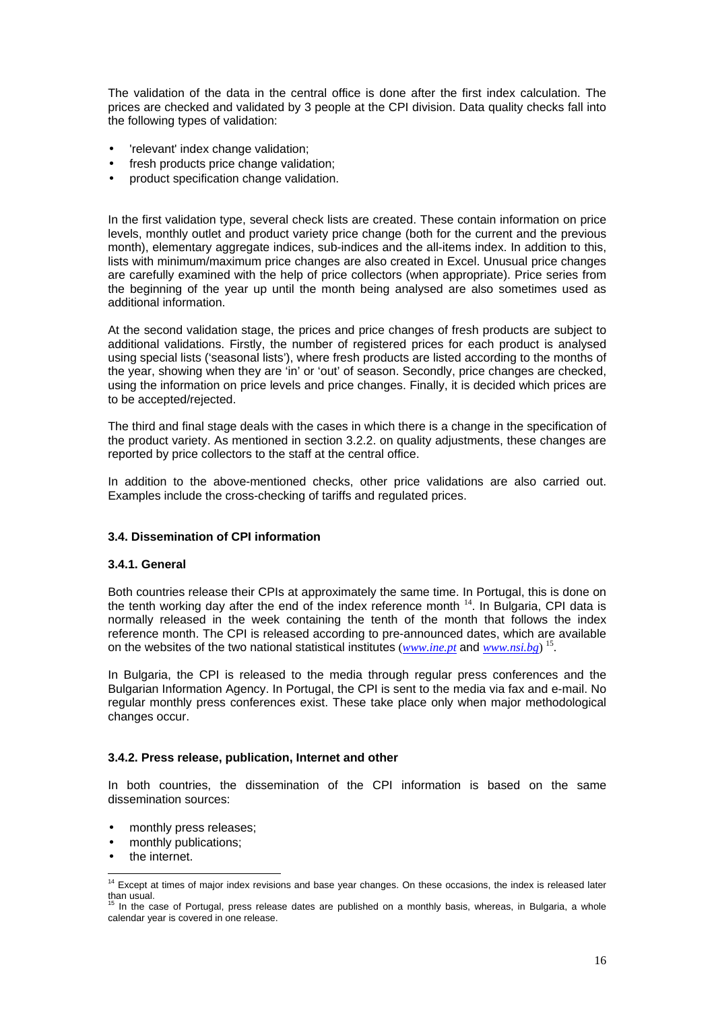The validation of the data in the central office is done after the first index calculation. The prices are checked and validated by 3 people at the CPI division. Data quality checks fall into the following types of validation:

- 'relevant' index change validation;
- fresh products price change validation;
- product specification change validation.

In the first validation type, several check lists are created. These contain information on price levels, monthly outlet and product variety price change (both for the current and the previous month), elementary aggregate indices, sub-indices and the all-items index. In addition to this, lists with minimum/maximum price changes are also created in Excel. Unusual price changes are carefully examined with the help of price collectors (when appropriate). Price series from the beginning of the year up until the month being analysed are also sometimes used as additional information.

At the second validation stage, the prices and price changes of fresh products are subject to additional validations. Firstly, the number of registered prices for each product is analysed using special lists ('seasonal lists'), where fresh products are listed according to the months of the year, showing when they are 'in' or 'out' of season. Secondly, price changes are checked, using the information on price levels and price changes. Finally, it is decided which prices are to be accepted/rejected.

The third and final stage deals with the cases in which there is a change in the specification of the product variety. As mentioned in section 3.2.2. on quality adjustments, these changes are reported by price collectors to the staff at the central office.

In addition to the above-mentioned checks, other price validations are also carried out. Examples include the cross-checking of tariffs and regulated prices.

## **3.4. Dissemination of CPI information**

#### **3.4.1. General**

Both countries release their CPIs at approximately the same time. In Portugal, this is done on the tenth working day after the end of the index reference month  $14$ . In Bulgaria, CPI data is normally released in the week containing the tenth of the month that follows the index reference month. The CPI is released according to pre-announced dates, which are available on the websites of the two national statistical institutes (*www.ine.pt* and *www.nsi.bg*) 15.

In Bulgaria, the CPI is released to the media through regular press conferences and the Bulgarian Information Agency. In Portugal, the CPI is sent to the media via fax and e-mail. No regular monthly press conferences exist. These take place only when major methodological changes occur.

#### **3.4.2. Press release, publication, Internet and other**

In both countries, the dissemination of the CPI information is based on the same dissemination sources:

- monthly press releases;
- monthly publications;
- the internet.

 $\overline{a}$ 

<sup>&</sup>lt;sup>14</sup> Except at times of major index revisions and base year changes. On these occasions, the index is released later than usual. 15 In the case of Portugal, press release dates are published on a monthly basis, whereas, in Bulgaria, a whole

calendar year is covered in one release.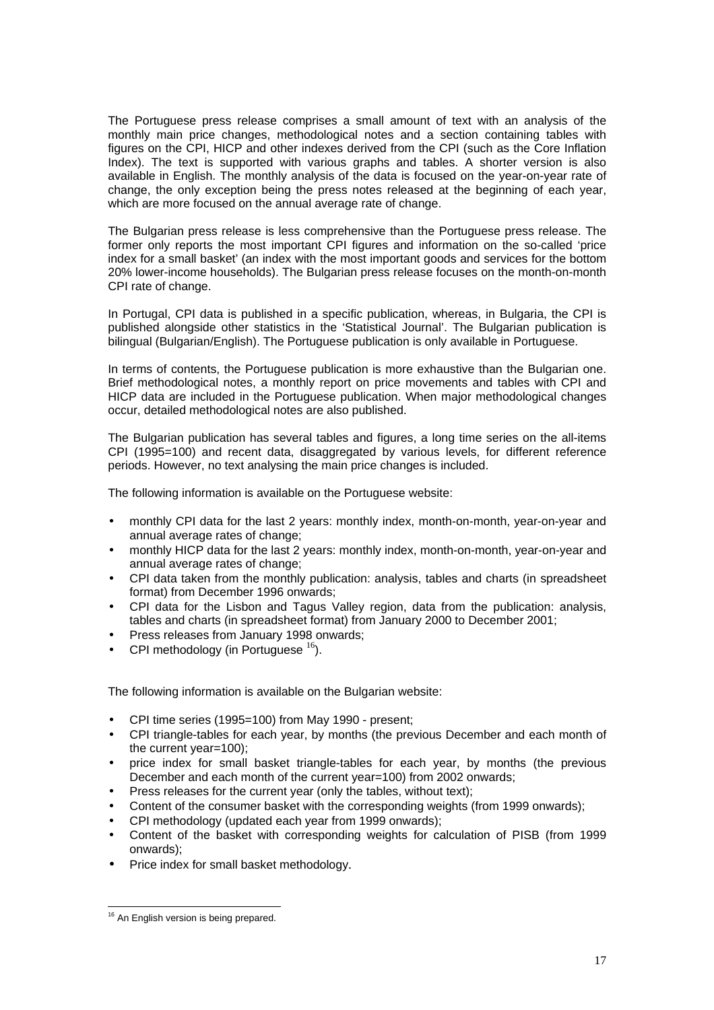The Portuguese press release comprises a small amount of text with an analysis of the monthly main price changes, methodological notes and a section containing tables with figures on the CPI, HICP and other indexes derived from the CPI (such as the Core Inflation Index). The text is supported with various graphs and tables. A shorter version is also available in English. The monthly analysis of the data is focused on the year-on-year rate of change, the only exception being the press notes released at the beginning of each year, which are more focused on the annual average rate of change.

The Bulgarian press release is less comprehensive than the Portuguese press release. The former only reports the most important CPI figures and information on the so-called 'price index for a small basket' (an index with the most important goods and services for the bottom 20% lower-income households). The Bulgarian press release focuses on the month-on-month CPI rate of change.

In Portugal, CPI data is published in a specific publication, whereas, in Bulgaria, the CPI is published alongside other statistics in the 'Statistical Journal'. The Bulgarian publication is bilingual (Bulgarian/English). The Portuguese publication is only available in Portuguese.

In terms of contents, the Portuguese publication is more exhaustive than the Bulgarian one. Brief methodological notes, a monthly report on price movements and tables with CPI and HICP data are included in the Portuguese publication. When major methodological changes occur, detailed methodological notes are also published.

The Bulgarian publication has several tables and figures, a long time series on the all-items CPI (1995=100) and recent data, disaggregated by various levels, for different reference periods. However, no text analysing the main price changes is included.

The following information is available on the Portuguese website:

- monthly CPI data for the last 2 years: monthly index, month-on-month, year-on-year and annual average rates of change;
- monthly HICP data for the last 2 years: monthly index, month-on-month, year-on-year and annual average rates of change;
- CPI data taken from the monthly publication: analysis, tables and charts (in spreadsheet format) from December 1996 onwards;
- CPI data for the Lisbon and Tagus Valley region, data from the publication: analysis, tables and charts (in spreadsheet format) from January 2000 to December 2001;
- Press releases from January 1998 onwards;
- CPI methodology (in Portuguese  $^{16}$ ).

The following information is available on the Bulgarian website:

- CPI time series (1995=100) from May 1990 present;
- CPI triangle-tables for each year, by months (the previous December and each month of the current year=100);
- price index for small basket triangle-tables for each year, by months (the previous December and each month of the current year=100) from 2002 onwards;
- Press releases for the current year (only the tables, without text);
- Content of the consumer basket with the corresponding weights (from 1999 onwards);
- CPI methodology (updated each year from 1999 onwards);
- Content of the basket with corresponding weights for calculation of PISB (from 1999 onwards);
- Price index for small basket methodology.

 $\overline{a}$ <sup>16</sup> An English version is being prepared.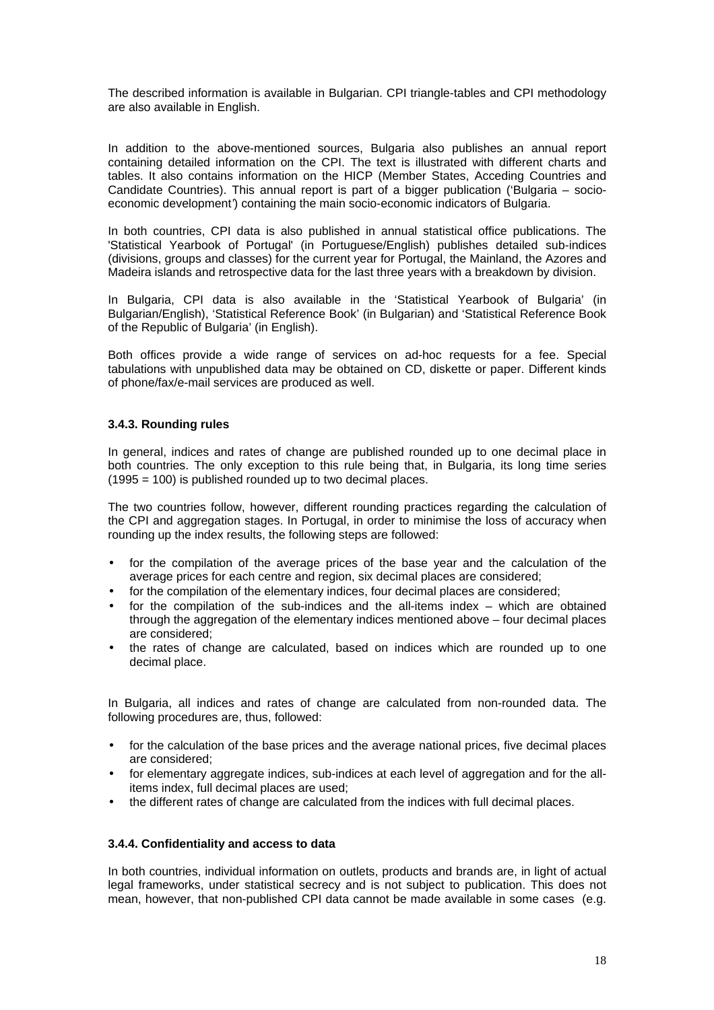The described information is available in Bulgarian. CPI triangle-tables and CPI methodology are also available in English.

In addition to the above-mentioned sources, Bulgaria also publishes an annual report containing detailed information on the CPI. The text is illustrated with different charts and tables. It also contains information on the HICP (Member States, Acceding Countries and Candidate Countries). This annual report is part of a bigger publication ('Bulgaria – socioeconomic development*'*) containing the main socio-economic indicators of Bulgaria.

In both countries, CPI data is also published in annual statistical office publications. The 'Statistical Yearbook of Portugal' (in Portuguese/English) publishes detailed sub-indices (divisions, groups and classes) for the current year for Portugal, the Mainland, the Azores and Madeira islands and retrospective data for the last three years with a breakdown by division.

In Bulgaria, CPI data is also available in the 'Statistical Yearbook of Bulgaria' (in Bulgarian/English), 'Statistical Reference Book' (in Bulgarian) and 'Statistical Reference Book of the Republic of Bulgaria' (in English).

Both offices provide a wide range of services on ad-hoc requests for a fee. Special tabulations with unpublished data may be obtained on CD, diskette or paper. Different kinds of phone/fax/e-mail services are produced as well.

## **3.4.3. Rounding rules**

In general, indices and rates of change are published rounded up to one decimal place in both countries. The only exception to this rule being that, in Bulgaria, its long time series  $(1995 = 100)$  is published rounded up to two decimal places.

The two countries follow, however, different rounding practices regarding the calculation of the CPI and aggregation stages. In Portugal, in order to minimise the loss of accuracy when rounding up the index results, the following steps are followed:

- for the compilation of the average prices of the base year and the calculation of the average prices for each centre and region, six decimal places are considered;
- for the compilation of the elementary indices, four decimal places are considered;
- for the compilation of the sub-indices and the all-items index  $-$  which are obtained through the aggregation of the elementary indices mentioned above – four decimal places are considered;
- the rates of change are calculated, based on indices which are rounded up to one decimal place.

In Bulgaria, all indices and rates of change are calculated from non-rounded data. The following procedures are, thus, followed:

- for the calculation of the base prices and the average national prices, five decimal places are considered;
- for elementary aggregate indices, sub-indices at each level of aggregation and for the allitems index, full decimal places are used;
- the different rates of change are calculated from the indices with full decimal places.

## **3.4.4. Confidentiality and access to data**

In both countries, individual information on outlets, products and brands are, in light of actual legal frameworks, under statistical secrecy and is not subject to publication. This does not mean, however, that non-published CPI data cannot be made available in some cases (e.g.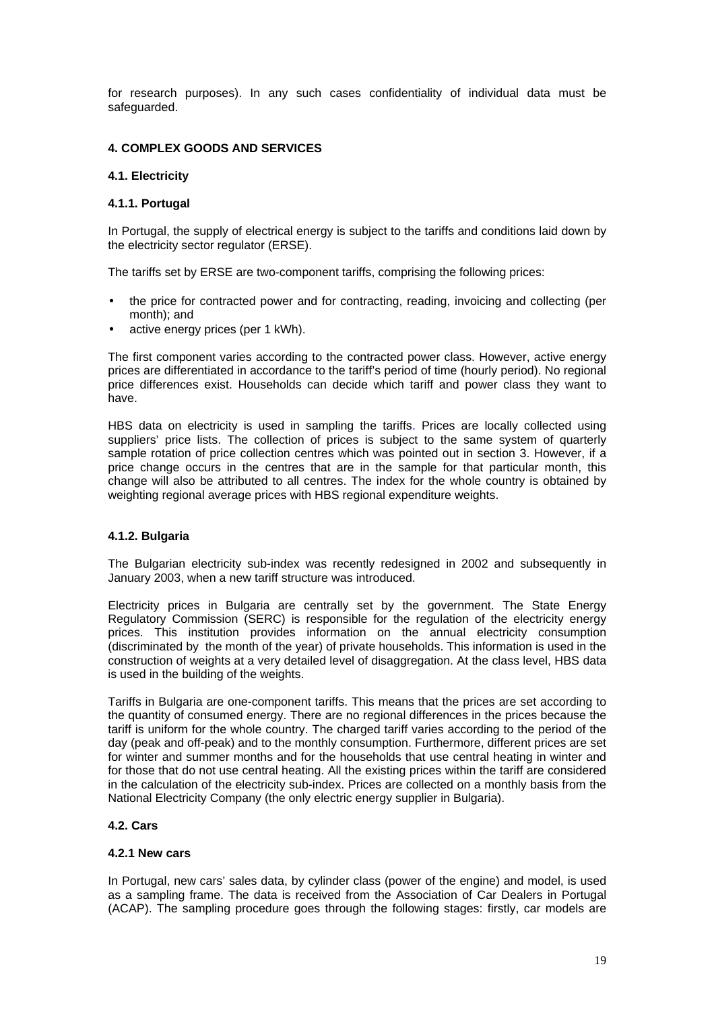for research purposes). In any such cases confidentiality of individual data must be safeguarded.

### **4. COMPLEX GOODS AND SERVICES**

### **4.1. Electricity**

### **4.1.1. Portugal**

In Portugal, the supply of electrical energy is subject to the tariffs and conditions laid down by the electricity sector regulator (ERSE).

The tariffs set by ERSE are two-component tariffs, comprising the following prices:

- the price for contracted power and for contracting, reading, invoicing and collecting (per month); and
- active energy prices (per 1 kWh).

The first component varies according to the contracted power class. However, active energy prices are differentiated in accordance to the tariff's period of time (hourly period). No regional price differences exist. Households can decide which tariff and power class they want to have.

HBS data on electricity is used in sampling the tariffs. Prices are locally collected using suppliers' price lists. The collection of prices is subject to the same system of quarterly sample rotation of price collection centres which was pointed out in section 3. However, if a price change occurs in the centres that are in the sample for that particular month, this change will also be attributed to all centres. The index for the whole country is obtained by weighting regional average prices with HBS regional expenditure weights.

## **4.1.2. Bulgaria**

The Bulgarian electricity sub-index was recently redesigned in 2002 and subsequently in January 2003, when a new tariff structure was introduced.

Electricity prices in Bulgaria are centrally set by the government. The State Energy Regulatory Commission (SERC) is responsible for the regulation of the electricity energy prices. This institution provides information on the annual electricity consumption (discriminated by the month of the year) of private households. This information is used in the construction of weights at a very detailed level of disaggregation. At the class level, HBS data is used in the building of the weights.

Tariffs in Bulgaria are one-component tariffs. This means that the prices are set according to the quantity of consumed energy. There are no regional differences in the prices because the tariff is uniform for the whole country. The charged tariff varies according to the period of the day (peak and off-peak) and to the monthly consumption. Furthermore, different prices are set for winter and summer months and for the households that use central heating in winter and for those that do not use central heating. All the existing prices within the tariff are considered in the calculation of the electricity sub-index. Prices are collected on a monthly basis from the National Electricity Company (the only electric energy supplier in Bulgaria).

#### **4.2. Cars**

#### **4.2.1 New cars**

In Portugal, new cars' sales data, by cylinder class (power of the engine) and model, is used as a sampling frame. The data is received from the Association of Car Dealers in Portugal (ACAP). The sampling procedure goes through the following stages: firstly, car models are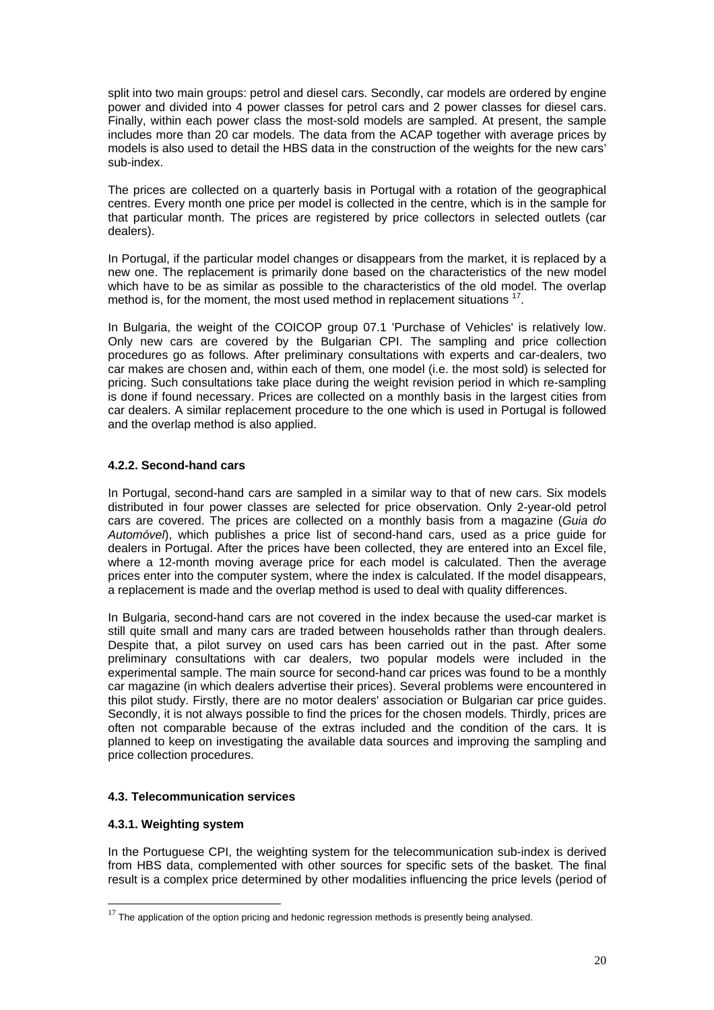split into two main groups: petrol and diesel cars. Secondly, car models are ordered by engine power and divided into 4 power classes for petrol cars and 2 power classes for diesel cars. Finally, within each power class the most-sold models are sampled. At present, the sample includes more than 20 car models. The data from the ACAP together with average prices by models is also used to detail the HBS data in the construction of the weights for the new cars' sub-index.

The prices are collected on a quarterly basis in Portugal with a rotation of the geographical centres. Every month one price per model is collected in the centre, which is in the sample for that particular month. The prices are registered by price collectors in selected outlets (car dealers).

In Portugal, if the particular model changes or disappears from the market, it is replaced by a new one. The replacement is primarily done based on the characteristics of the new model which have to be as similar as possible to the characteristics of the old model. The overlap method is, for the moment, the most used method in replacement situations  $17$ .

In Bulgaria, the weight of the COICOP group 07.1 'Purchase of Vehicles' is relatively low. Only new cars are covered by the Bulgarian CPI. The sampling and price collection procedures go as follows. After preliminary consultations with experts and car-dealers, two car makes are chosen and, within each of them, one model (i.e. the most sold) is selected for pricing. Such consultations take place during the weight revision period in which re-sampling is done if found necessary. Prices are collected on a monthly basis in the largest cities from car dealers. A similar replacement procedure to the one which is used in Portugal is followed and the overlap method is also applied.

## **4.2.2. Second-hand cars**

In Portugal, second-hand cars are sampled in a similar way to that of new cars. Six models distributed in four power classes are selected for price observation. Only 2-year-old petrol cars are covered. The prices are collected on a monthly basis from a magazine (*Guia do Automóvel*), which publishes a price list of second-hand cars, used as a price guide for dealers in Portugal. After the prices have been collected, they are entered into an Excel file, where a 12-month moving average price for each model is calculated. Then the average prices enter into the computer system, where the index is calculated. If the model disappears, a replacement is made and the overlap method is used to deal with quality differences.

In Bulgaria, second-hand cars are not covered in the index because the used-car market is still quite small and many cars are traded between households rather than through dealers. Despite that, a pilot survey on used cars has been carried out in the past. After some preliminary consultations with car dealers, two popular models were included in the experimental sample. The main source for second-hand car prices was found to be a monthly car magazine (in which dealers advertise their prices). Several problems were encountered in this pilot study. Firstly, there are no motor dealers' association or Bulgarian car price guides. Secondly, it is not always possible to find the prices for the chosen models. Thirdly, prices are often not comparable because of the extras included and the condition of the cars. It is planned to keep on investigating the available data sources and improving the sampling and price collection procedures.

## **4.3. Telecommunication services**

## **4.3.1. Weighting system**

l

In the Portuguese CPI, the weighting system for the telecommunication sub-index is derived from HBS data, complemented with other sources for specific sets of the basket. The final result is a complex price determined by other modalities influencing the price levels (period of

 $17$  The application of the option pricing and hedonic regression methods is presently being analysed.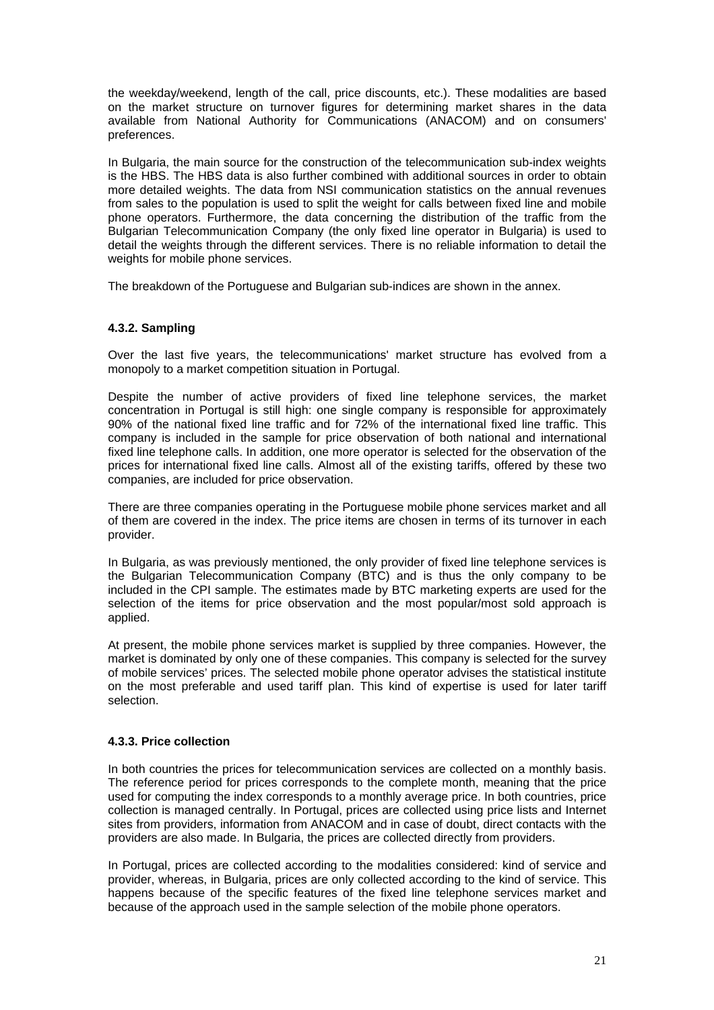the weekday/weekend, length of the call, price discounts, etc.). These modalities are based on the market structure on turnover figures for determining market shares in the data available from National Authority for Communications (ANACOM) and on consumers' preferences.

In Bulgaria, the main source for the construction of the telecommunication sub-index weights is the HBS. The HBS data is also further combined with additional sources in order to obtain more detailed weights. The data from NSI communication statistics on the annual revenues from sales to the population is used to split the weight for calls between fixed line and mobile phone operators. Furthermore, the data concerning the distribution of the traffic from the Bulgarian Telecommunication Company (the only fixed line operator in Bulgaria) is used to detail the weights through the different services. There is no reliable information to detail the weights for mobile phone services.

The breakdown of the Portuguese and Bulgarian sub-indices are shown in the annex.

## **4.3.2. Sampling**

Over the last five years, the telecommunications' market structure has evolved from a monopoly to a market competition situation in Portugal.

Despite the number of active providers of fixed line telephone services, the market concentration in Portugal is still high: one single company is responsible for approximately 90% of the national fixed line traffic and for 72% of the international fixed line traffic. This company is included in the sample for price observation of both national and international fixed line telephone calls. In addition, one more operator is selected for the observation of the prices for international fixed line calls. Almost all of the existing tariffs, offered by these two companies, are included for price observation.

There are three companies operating in the Portuguese mobile phone services market and all of them are covered in the index. The price items are chosen in terms of its turnover in each provider.

In Bulgaria, as was previously mentioned, the only provider of fixed line telephone services is the Bulgarian Telecommunication Company (BTC) and is thus the only company to be included in the CPI sample. The estimates made by BTC marketing experts are used for the selection of the items for price observation and the most popular/most sold approach is applied.

At present, the mobile phone services market is supplied by three companies. However, the market is dominated by only one of these companies. This company is selected for the survey of mobile services' prices. The selected mobile phone operator advises the statistical institute on the most preferable and used tariff plan. This kind of expertise is used for later tariff selection.

## **4.3.3. Price collection**

In both countries the prices for telecommunication services are collected on a monthly basis. The reference period for prices corresponds to the complete month, meaning that the price used for computing the index corresponds to a monthly average price. In both countries, price collection is managed centrally. In Portugal, prices are collected using price lists and Internet sites from providers, information from ANACOM and in case of doubt, direct contacts with the providers are also made. In Bulgaria, the prices are collected directly from providers.

In Portugal, prices are collected according to the modalities considered: kind of service and provider, whereas, in Bulgaria, prices are only collected according to the kind of service. This happens because of the specific features of the fixed line telephone services market and because of the approach used in the sample selection of the mobile phone operators.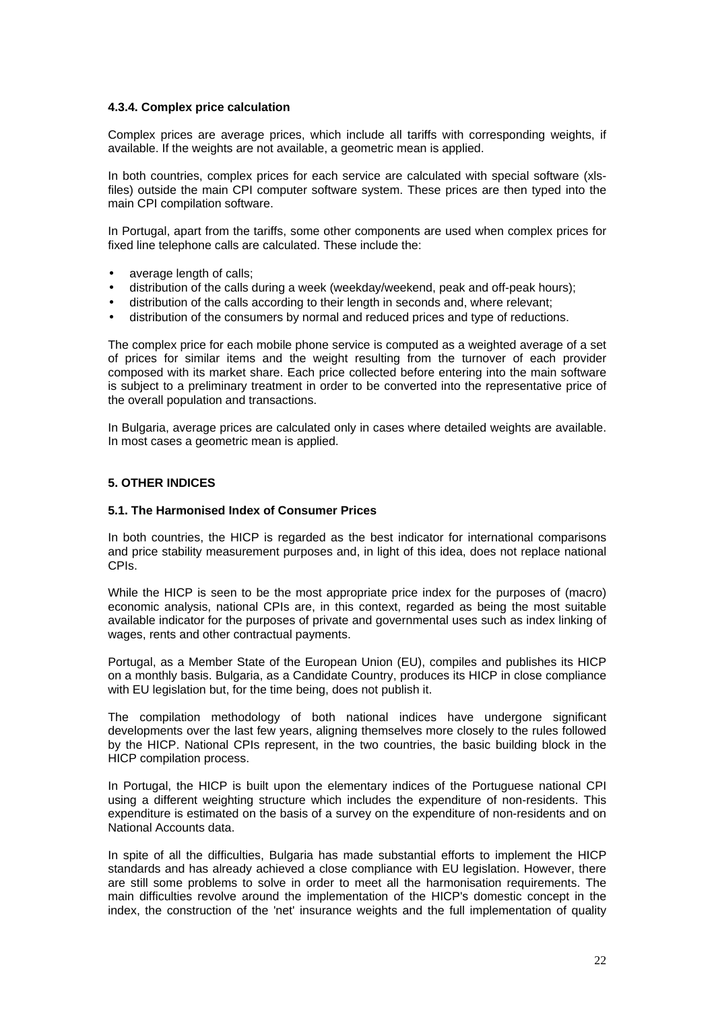### **4.3.4. Complex price calculation**

Complex prices are average prices, which include all tariffs with corresponding weights, if available. If the weights are not available, a geometric mean is applied.

In both countries, complex prices for each service are calculated with special software (xlsfiles) outside the main CPI computer software system. These prices are then typed into the main CPI compilation software.

In Portugal, apart from the tariffs, some other components are used when complex prices for fixed line telephone calls are calculated. These include the:

- average length of calls;
- distribution of the calls during a week (weekday/weekend, peak and off-peak hours);
- distribution of the calls according to their length in seconds and, where relevant;
- distribution of the consumers by normal and reduced prices and type of reductions.

The complex price for each mobile phone service is computed as a weighted average of a set of prices for similar items and the weight resulting from the turnover of each provider composed with its market share. Each price collected before entering into the main software is subject to a preliminary treatment in order to be converted into the representative price of the overall population and transactions.

In Bulgaria, average prices are calculated only in cases where detailed weights are available. In most cases a geometric mean is applied.

### **5. OTHER INDICES**

### **5.1. The Harmonised Index of Consumer Prices**

In both countries, the HICP is regarded as the best indicator for international comparisons and price stability measurement purposes and, in light of this idea, does not replace national CPIs.

While the HICP is seen to be the most appropriate price index for the purposes of (macro) economic analysis, national CPIs are, in this context, regarded as being the most suitable available indicator for the purposes of private and governmental uses such as index linking of wages, rents and other contractual payments.

Portugal, as a Member State of the European Union (EU), compiles and publishes its HICP on a monthly basis. Bulgaria, as a Candidate Country, produces its HICP in close compliance with EU legislation but, for the time being, does not publish it.

The compilation methodology of both national indices have undergone significant developments over the last few years, aligning themselves more closely to the rules followed by the HICP. National CPIs represent, in the two countries, the basic building block in the HICP compilation process.

In Portugal, the HICP is built upon the elementary indices of the Portuguese national CPI using a different weighting structure which includes the expenditure of non-residents. This expenditure is estimated on the basis of a survey on the expenditure of non-residents and on National Accounts data.

In spite of all the difficulties. Bulgaria has made substantial efforts to implement the HICP standards and has already achieved a close compliance with EU legislation. However, there are still some problems to solve in order to meet all the harmonisation requirements. The main difficulties revolve around the implementation of the HICP's domestic concept in the index, the construction of the 'net' insurance weights and the full implementation of quality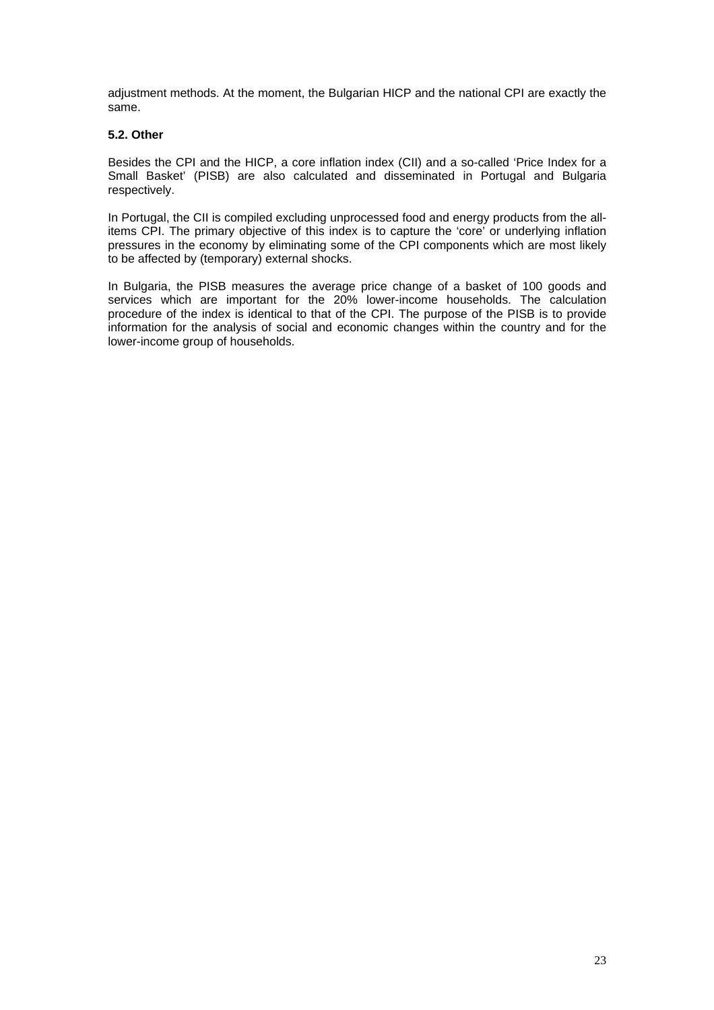adjustment methods. At the moment, the Bulgarian HICP and the national CPI are exactly the same.

## **5.2. Other**

Besides the CPI and the HICP, a core inflation index (CII) and a so-called 'Price Index for a Small Basket' (PISB) are also calculated and disseminated in Portugal and Bulgaria respectively.

In Portugal, the CII is compiled excluding unprocessed food and energy products from the allitems CPI. The primary objective of this index is to capture the 'core' or underlying inflation pressures in the economy by eliminating some of the CPI components which are most likely to be affected by (temporary) external shocks.

In Bulgaria, the PISB measures the average price change of a basket of 100 goods and services which are important for the 20% lower-income households. The calculation procedure of the index is identical to that of the CPI. The purpose of the PISB is to provide information for the analysis of social and economic changes within the country and for the lower-income group of households.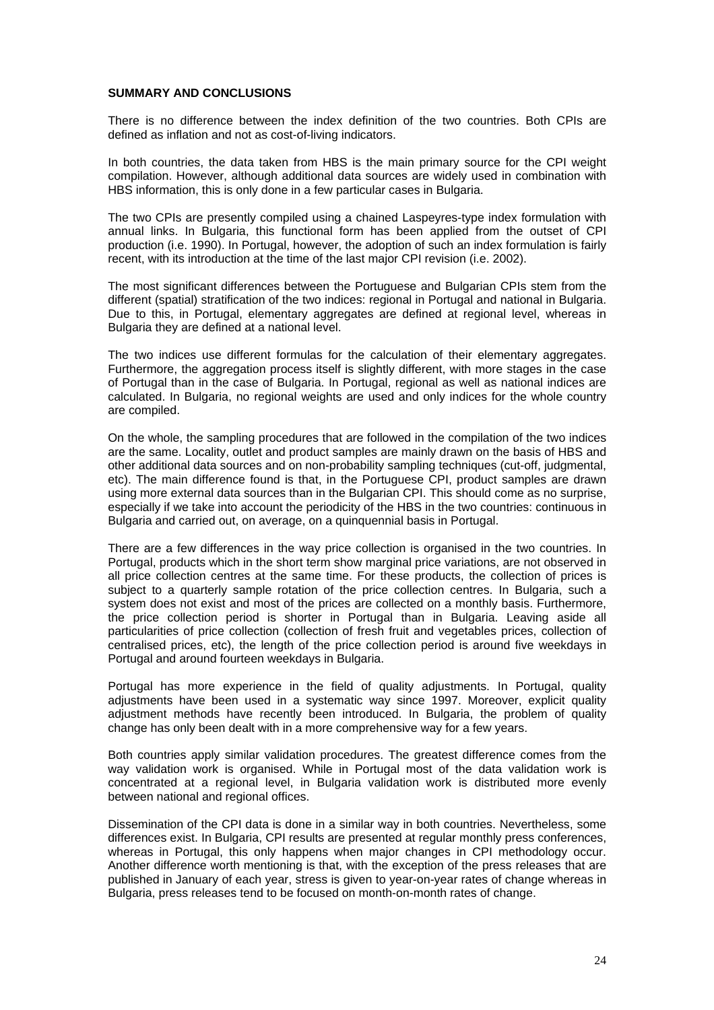### **SUMMARY AND CONCLUSIONS**

There is no difference between the index definition of the two countries. Both CPIs are defined as inflation and not as cost-of-living indicators.

In both countries, the data taken from HBS is the main primary source for the CPI weight compilation. However, although additional data sources are widely used in combination with HBS information, this is only done in a few particular cases in Bulgaria.

The two CPIs are presently compiled using a chained Laspeyres-type index formulation with annual links. In Bulgaria, this functional form has been applied from the outset of CPI production (i.e. 1990). In Portugal, however, the adoption of such an index formulation is fairly recent, with its introduction at the time of the last major CPI revision (i.e. 2002).

The most significant differences between the Portuguese and Bulgarian CPIs stem from the different (spatial) stratification of the two indices: regional in Portugal and national in Bulgaria. Due to this, in Portugal, elementary aggregates are defined at regional level, whereas in Bulgaria they are defined at a national level.

The two indices use different formulas for the calculation of their elementary aggregates. Furthermore, the aggregation process itself is slightly different, with more stages in the case of Portugal than in the case of Bulgaria. In Portugal, regional as well as national indices are calculated. In Bulgaria, no regional weights are used and only indices for the whole country are compiled.

On the whole, the sampling procedures that are followed in the compilation of the two indices are the same. Locality, outlet and product samples are mainly drawn on the basis of HBS and other additional data sources and on non-probability sampling techniques (cut-off, judgmental, etc). The main difference found is that, in the Portuguese CPI, product samples are drawn using more external data sources than in the Bulgarian CPI. This should come as no surprise, especially if we take into account the periodicity of the HBS in the two countries: continuous in Bulgaria and carried out, on average, on a quinquennial basis in Portugal.

There are a few differences in the way price collection is organised in the two countries. In Portugal, products which in the short term show marginal price variations, are not observed in all price collection centres at the same time. For these products, the collection of prices is subject to a quarterly sample rotation of the price collection centres. In Bulgaria, such a system does not exist and most of the prices are collected on a monthly basis. Furthermore, the price collection period is shorter in Portugal than in Bulgaria. Leaving aside all particularities of price collection (collection of fresh fruit and vegetables prices, collection of centralised prices, etc), the length of the price collection period is around five weekdays in Portugal and around fourteen weekdays in Bulgaria.

Portugal has more experience in the field of quality adjustments. In Portugal, quality adjustments have been used in a systematic way since 1997. Moreover, explicit quality adjustment methods have recently been introduced. In Bulgaria, the problem of quality change has only been dealt with in a more comprehensive way for a few years.

Both countries apply similar validation procedures. The greatest difference comes from the way validation work is organised. While in Portugal most of the data validation work is concentrated at a regional level, in Bulgaria validation work is distributed more evenly between national and regional offices.

Dissemination of the CPI data is done in a similar way in both countries. Nevertheless, some differences exist. In Bulgaria, CPI results are presented at regular monthly press conferences, whereas in Portugal, this only happens when major changes in CPI methodology occur. Another difference worth mentioning is that, with the exception of the press releases that are published in January of each year, stress is given to year-on-year rates of change whereas in Bulgaria, press releases tend to be focused on month-on-month rates of change.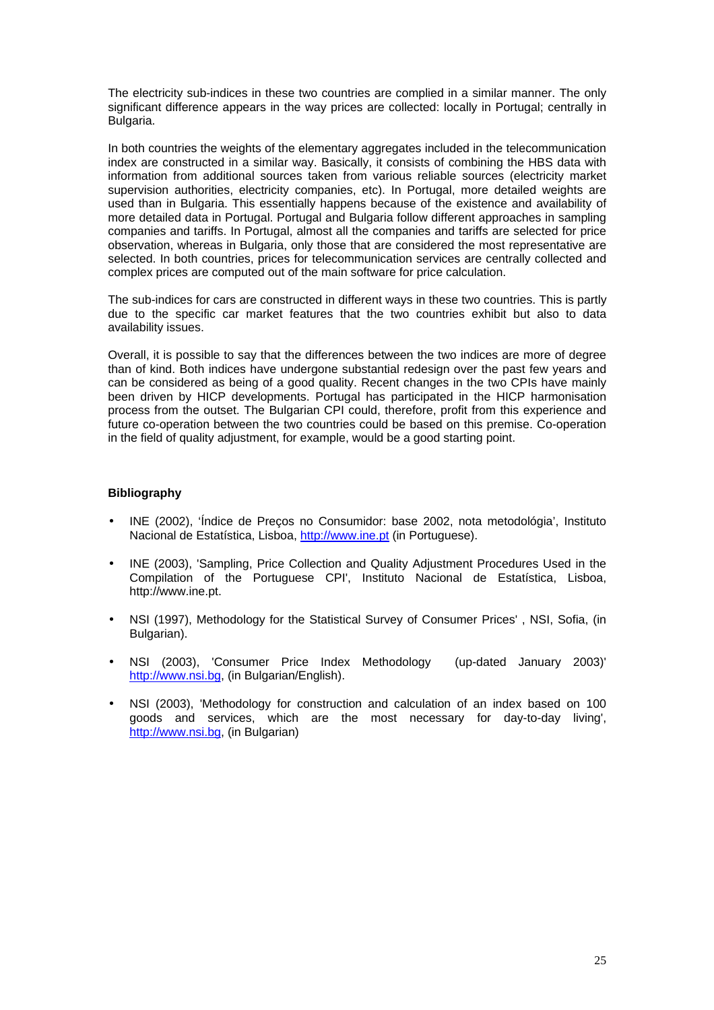The electricity sub-indices in these two countries are complied in a similar manner. The only significant difference appears in the way prices are collected: locally in Portugal; centrally in Bulgaria.

In both countries the weights of the elementary aggregates included in the telecommunication index are constructed in a similar way. Basically, it consists of combining the HBS data with information from additional sources taken from various reliable sources (electricity market supervision authorities, electricity companies, etc). In Portugal, more detailed weights are used than in Bulgaria. This essentially happens because of the existence and availability of more detailed data in Portugal. Portugal and Bulgaria follow different approaches in sampling companies and tariffs. In Portugal, almost all the companies and tariffs are selected for price observation, whereas in Bulgaria, only those that are considered the most representative are selected. In both countries, prices for telecommunication services are centrally collected and complex prices are computed out of the main software for price calculation.

The sub-indices for cars are constructed in different ways in these two countries. This is partly due to the specific car market features that the two countries exhibit but also to data availability issues.

Overall, it is possible to say that the differences between the two indices are more of degree than of kind. Both indices have undergone substantial redesign over the past few years and can be considered as being of a good quality. Recent changes in the two CPIs have mainly been driven by HICP developments. Portugal has participated in the HICP harmonisation process from the outset. The Bulgarian CPI could, therefore, profit from this experience and future co-operation between the two countries could be based on this premise. Co-operation in the field of quality adjustment, for example, would be a good starting point.

### **Bibliography**

- INE (2002), 'Índice de Preços no Consumidor: base 2002, nota metodológia', Instituto Nacional de Estatística, Lisboa, http://www.ine.pt (in Portuguese).
- INE (2003), 'Sampling, Price Collection and Quality Adjustment Procedures Used in the Compilation of the Portuguese CPI', Instituto Nacional de Estatística, Lisboa, http://www.ine.pt.
- NSI (1997), Methodology for the Statistical Survey of Consumer Prices' , NSI, Sofia, (in Bulgarian).
- NSI (2003), 'Consumer Price Index Methodology (up-dated January 2003)' http://www.nsi.bg, (in Bulgarian/English).
- NSI (2003), 'Methodology for construction and calculation of an index based on 100 goods and services, which are the most necessary for day-to-day living', http://www.nsi.bg, (in Bulgarian)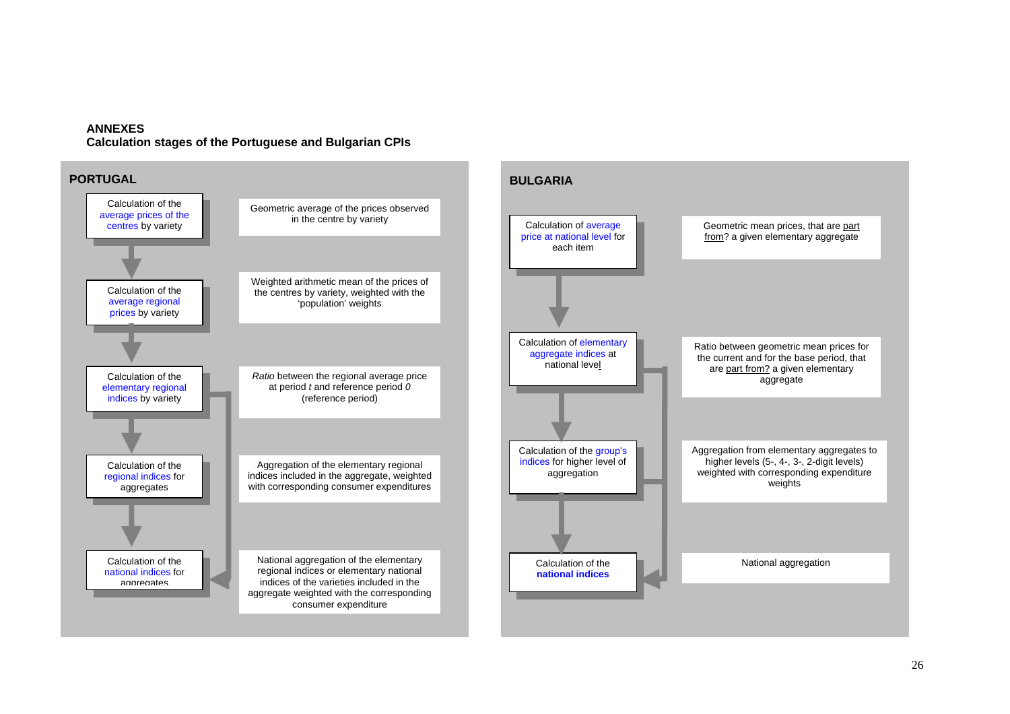### **ANNEXES**

**Calculation stages of the Portuguese and Bulgarian CPIs**

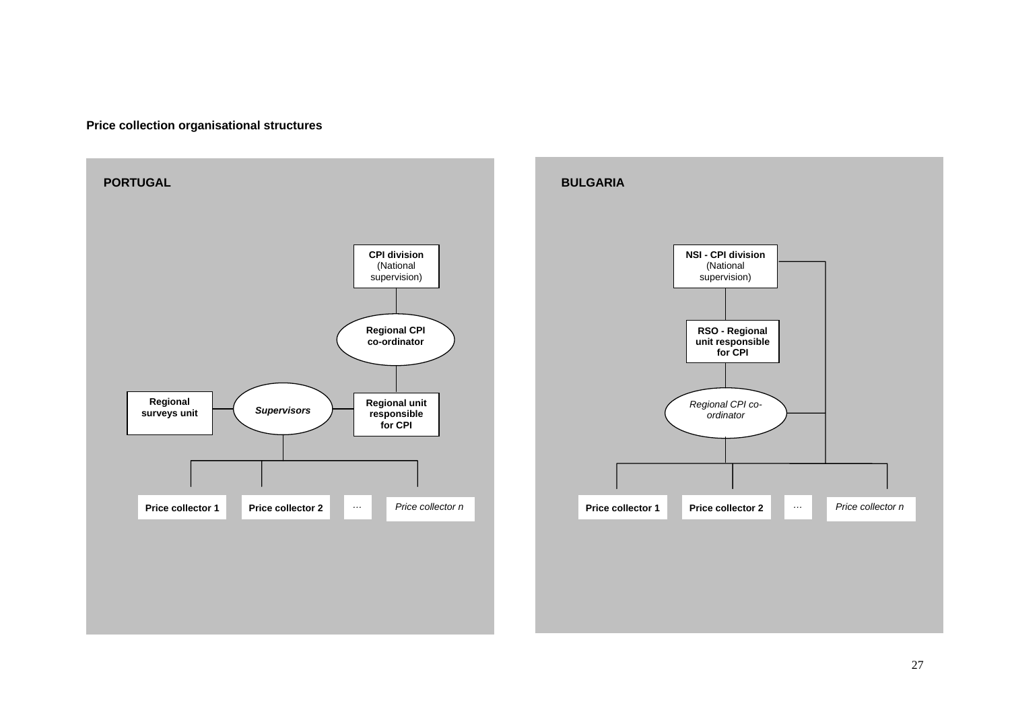## **Price collection organisational structures**

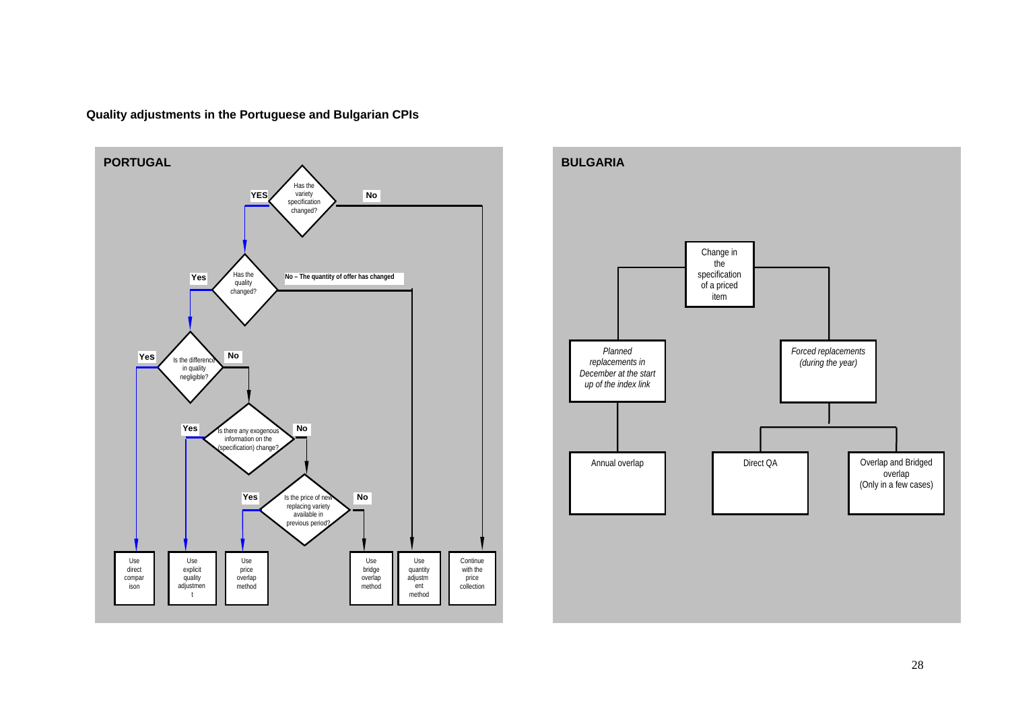![](_page_28_Figure_0.jpeg)

**Quality adjustments in the Portuguese and Bulgarian CPIs**

![](_page_28_Figure_2.jpeg)